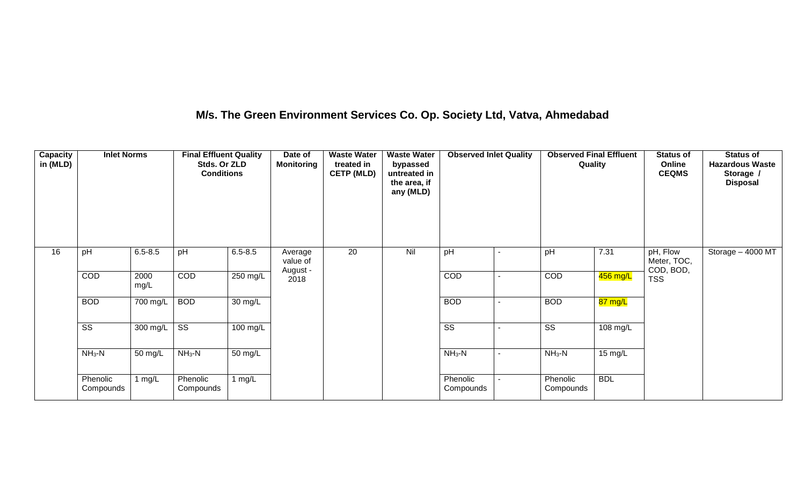### **M/s. The Green Environment Services Co. Op. Society Ltd, Vatva, Ahmedabad**

| Capacity<br>in (MLD) | <b>Inlet Norms</b>     |                    | <b>Final Effluent Quality</b><br>Stds. Or ZLD<br><b>Conditions</b> |                      | Date of<br><b>Monitoring</b> | <b>Waste Water</b><br>treated in<br><b>CETP (MLD)</b> | <b>Waste Water</b><br>bypassed<br>untreated in<br>the area, if<br>any (MLD) | <b>Observed Inlet Quality</b> | <b>Observed Final Effluent</b><br>Quality |                    | <b>Status of</b><br>Online<br><b>CEQMS</b> | <b>Status of</b><br><b>Hazardous Waste</b><br>Storage /<br><b>Disposal</b> |
|----------------------|------------------------|--------------------|--------------------------------------------------------------------|----------------------|------------------------------|-------------------------------------------------------|-----------------------------------------------------------------------------|-------------------------------|-------------------------------------------|--------------------|--------------------------------------------|----------------------------------------------------------------------------|
| 16                   | pH                     | $6.5 - 8.5$        | pH                                                                 | $6.5 - 8.5$          | Average<br>value of          | 20                                                    | Nil                                                                         | pH                            | pH                                        | 7.31               | pH, Flow<br>Meter, TOC,<br>COD, BOD,       | Storage - 4000 MT                                                          |
|                      | COD                    | 2000<br>mg/L       | COD                                                                | 250 mg/L             | August -<br>2018             |                                                       |                                                                             | COD                           | COD                                       | 456 mg/L           | <b>TSS</b>                                 |                                                                            |
|                      | <b>BOD</b>             | 700 mg/L           | <b>BOD</b>                                                         | $\overline{30}$ mg/L |                              |                                                       |                                                                             | <b>BOD</b>                    | <b>BOD</b>                                | 87 mg/L            |                                            |                                                                            |
|                      | $\overline{\text{ss}}$ | $300 \text{ mg/L}$ | $\overline{\text{ss}}$                                             | $100$ mg/L           |                              |                                                       |                                                                             | $\overline{\text{ss}}$        | $\overline{\text{SS}}$                    | $108 \text{ mg/L}$ |                                            |                                                                            |
|                      | $NH3-N$                | 50 mg/L            | $NH3-N$                                                            | 50 mg/L              |                              |                                                       |                                                                             | $NH_3-N$                      | $NH3-N$                                   | 15 mg/L            |                                            |                                                                            |
|                      | Phenolic<br>Compounds  | 1 mg/ $L$          | Phenolic<br>Compounds                                              | 1 $mg/L$             |                              |                                                       |                                                                             | Phenolic<br>Compounds         | Phenolic<br>Compounds                     | <b>BDL</b>         |                                            |                                                                            |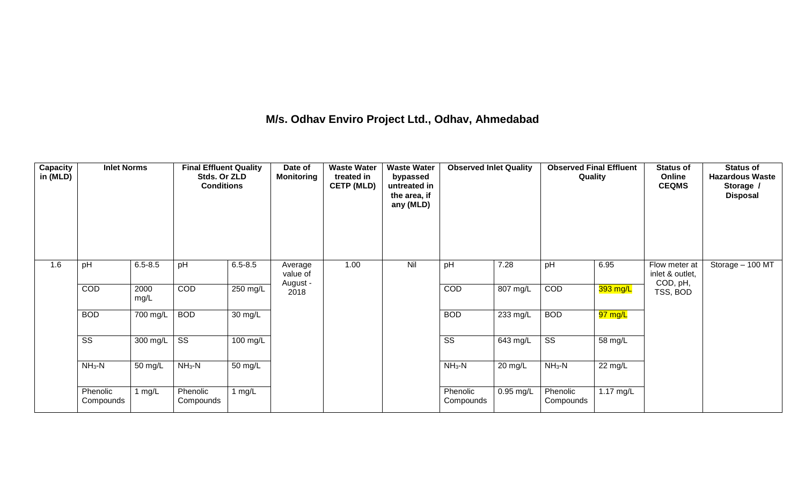### **M/s. Odhav Enviro Project Ltd., Odhav, Ahmedabad**

| Capacity<br>in (MLD) | <b>Inlet Norms</b>     |                    | <b>Final Effluent Quality</b><br>Stds. Or ZLD<br><b>Conditions</b> |                    | Date of<br><b>Monitoring</b>    | <b>Waste Water</b><br>treated in<br><b>CETP (MLD)</b> | <b>Waste Water</b><br>bypassed<br>untreated in<br>the area, if<br>any (MLD) | <b>Observed Inlet Quality</b> |                    | <b>Observed Final Effluent</b><br>Quality |                      | <b>Status of</b><br>Online<br><b>CEQMS</b>   | <b>Status of</b><br><b>Hazardous Waste</b><br>Storage /<br><b>Disposal</b> |
|----------------------|------------------------|--------------------|--------------------------------------------------------------------|--------------------|---------------------------------|-------------------------------------------------------|-----------------------------------------------------------------------------|-------------------------------|--------------------|-------------------------------------------|----------------------|----------------------------------------------|----------------------------------------------------------------------------|
| 1.6                  | pH                     | $6.5 - 8.5$        | pH                                                                 | $6.5 - 8.5$        | Average<br>value of<br>August - | 1.00                                                  | Nil                                                                         | pH                            | 7.28               | pH                                        | 6.95                 | Flow meter at<br>inlet & outlet,<br>COD, pH, | Storage - 100 MT                                                           |
|                      | COD                    | 2000<br>mg/L       | <b>COD</b>                                                         | $250$ mg/L         | 2018                            |                                                       |                                                                             | COD                           | $807 \text{ mg/L}$ | COD                                       | 393 mg/L             | TSS, BOD                                     |                                                                            |
|                      | <b>BOD</b>             | 700 mg/L           | <b>BOD</b>                                                         | 30 mg/L            |                                 |                                                       |                                                                             | <b>BOD</b>                    | 233 mg/L           | <b>BOD</b>                                | <mark>97 mg/L</mark> |                                              |                                                                            |
|                      | $\overline{\text{ss}}$ | $300 \text{ mg/L}$ | $\overline{\text{ss}}$                                             | $100 \text{ mg/L}$ |                                 |                                                       |                                                                             | $\overline{\text{ss}}$        | $643$ mg/L         | $\overline{\text{ss}}$                    | 58 mg/L              |                                              |                                                                            |
|                      | $NH3-N$                | 50 mg/L            | $NH3-N$                                                            | 50 mg/L            |                                 |                                                       |                                                                             | $NH3-N$                       | 20 mg/L            | $NH3-N$                                   | $\overline{22}$ mg/L |                                              |                                                                            |
|                      | Phenolic<br>Compounds  | 1 mg/L             | Phenolic<br>Compounds                                              | 1 $mg/L$           |                                 |                                                       |                                                                             | Phenolic<br>Compounds         | $0.95$ mg/L        | Phenolic<br>Compounds                     | $1.17$ mg/L          |                                              |                                                                            |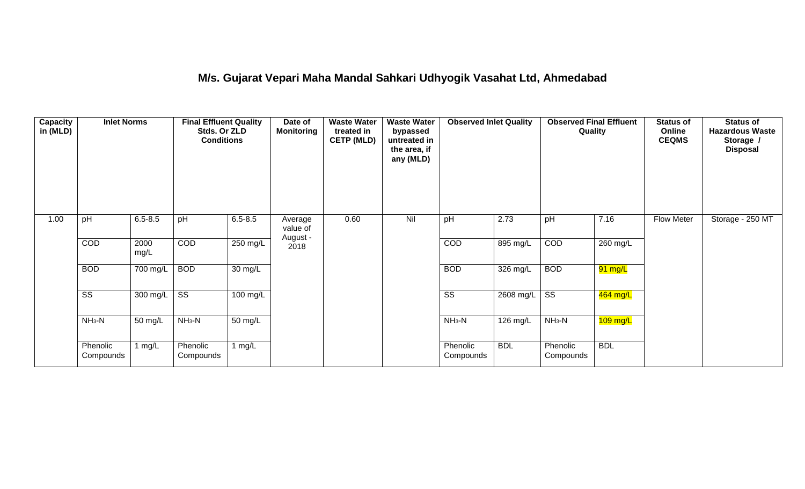### **M/s. Gujarat Vepari Maha Mandal Sahkari Udhyogik Vasahat Ltd, Ahmedabad**

| Capacity<br>in (MLD) | <b>Inlet Norms</b>     |              | <b>Final Effluent Quality</b><br>Stds. Or ZLD<br><b>Conditions</b> |                      | Date of<br><b>Monitoring</b>    | <b>Waste Water</b><br>treated in<br><b>CETP (MLD)</b> | <b>Waste Water</b><br>bypassed<br>untreated in<br>the area, if<br>any (MLD) | <b>Observed Inlet Quality</b> |             | <b>Observed Final Effluent</b><br>Quality |                      | <b>Status of</b><br>Online<br><b>CEQMS</b> | <b>Status of</b><br><b>Hazardous Waste</b><br>Storage /<br><b>Disposal</b> |
|----------------------|------------------------|--------------|--------------------------------------------------------------------|----------------------|---------------------------------|-------------------------------------------------------|-----------------------------------------------------------------------------|-------------------------------|-------------|-------------------------------------------|----------------------|--------------------------------------------|----------------------------------------------------------------------------|
| 1.00                 | pH                     | $6.5 - 8.5$  | pH                                                                 | $6.5 - 8.5$          | Average<br>value of<br>August - | 0.60                                                  | Nil                                                                         | pH                            | 2.73        | pH                                        | 7.16                 | <b>Flow Meter</b>                          | Storage - 250 MT                                                           |
|                      | COD                    | 2000<br>mg/L | COD                                                                | $250$ mg/L           | 2018                            |                                                       |                                                                             | COD                           | 895 mg/L    | COD                                       | $260$ mg/L           |                                            |                                                                            |
|                      | <b>BOD</b>             | 700 mg/L     | <b>BOD</b>                                                         | 30 mg/L              |                                 |                                                       |                                                                             | <b>BOD</b>                    | 326 mg/L    | <b>BOD</b>                                | $\overline{91}$ mg/L |                                            |                                                                            |
|                      | $\overline{\text{ss}}$ | 300 mg/L     | $\overline{\text{ss}}$                                             | $100$ mg/L           |                                 |                                                       |                                                                             | $\overline{\text{ss}}$        | $2608$ mg/L | $\overline{\text{ss}}$                    | $464$ mg/L           |                                            |                                                                            |
|                      | $NH3-N$                | 50 mg/L      | $NH3-N$                                                            | $\overline{50}$ mg/L |                                 |                                                       |                                                                             | $NH3-N$                       | 126 mg/L    | $NH3-N$                                   | $109$ mg/L           |                                            |                                                                            |
|                      | Phenolic<br>Compounds  | 1 mg/L       | Phenolic<br>Compounds                                              | 1 mg/L               |                                 |                                                       |                                                                             | Phenolic<br>Compounds         | <b>BDL</b>  | Phenolic<br>Compounds                     | <b>BDL</b>           |                                            |                                                                            |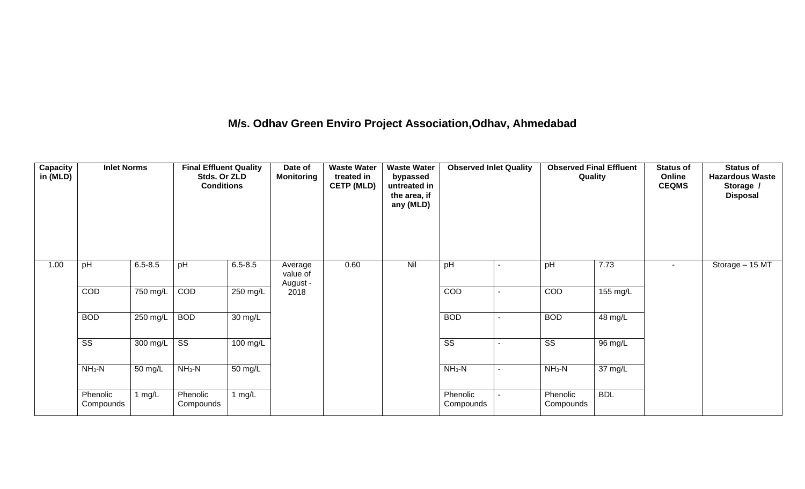### **M/s. Odhav Green Enviro Project Association,Odhav, Ahmedabad**

| <b>Capacity</b><br>in (MLD) | <b>Inlet Norms</b>     |             | <b>Final Effluent Quality</b><br>Stds. Or ZLD<br><b>Conditions</b> |             | Date of<br><b>Monitoring</b>    | <b>Waste Water</b><br>treated in<br><b>CETP (MLD)</b> | <b>Waste Water</b><br>bypassed<br>untreated in<br>the area, if<br>any (MLD) | <b>Observed Inlet Quality</b> | <b>Observed Final Effluent</b><br>Quality |            | <b>Status of</b><br>Online<br><b>CEQMS</b> | <b>Status of</b><br><b>Hazardous Waste</b><br>Storage /<br><b>Disposal</b> |
|-----------------------------|------------------------|-------------|--------------------------------------------------------------------|-------------|---------------------------------|-------------------------------------------------------|-----------------------------------------------------------------------------|-------------------------------|-------------------------------------------|------------|--------------------------------------------|----------------------------------------------------------------------------|
| 1.00                        | pH                     | $6.5 - 8.5$ | pH                                                                 | $6.5 - 8.5$ | Average<br>value of<br>August - | 0.60                                                  | Nil                                                                         | pH                            | pH                                        | 7.73       | $\blacksquare$                             | Storage - 15 MT                                                            |
|                             | COD                    | 750 mg/L    | COD                                                                | $250$ mg/L  | 2018                            |                                                       |                                                                             | COD                           | COD                                       | 155 mg/L   |                                            |                                                                            |
|                             | <b>BOD</b>             | 250 mg/L    | <b>BOD</b>                                                         | 30 mg/L     |                                 |                                                       |                                                                             | <b>BOD</b>                    | <b>BOD</b>                                | 48 mg/L    |                                            |                                                                            |
|                             | $\overline{\text{ss}}$ | 300 mg/L    | $\overline{\mathsf{ss}}$                                           | 100 mg/L    |                                 |                                                       |                                                                             | $\overline{\text{ss}}$        | $\overline{\text{ss}}$                    | 96 mg/L    |                                            |                                                                            |
|                             | $NH3-N$                | 50 mg/L     | $NH3-N$                                                            | 50 mg/L     |                                 |                                                       |                                                                             | $NH3-N$                       | $NH_3-N$                                  | 37 mg/L    |                                            |                                                                            |
|                             | Phenolic<br>Compounds  | 1 $mg/L$    | Phenolic<br>Compounds                                              | 1 $mg/L$    |                                 |                                                       |                                                                             | Phenolic<br>Compounds         | Phenolic<br>Compounds                     | <b>BDL</b> |                                            |                                                                            |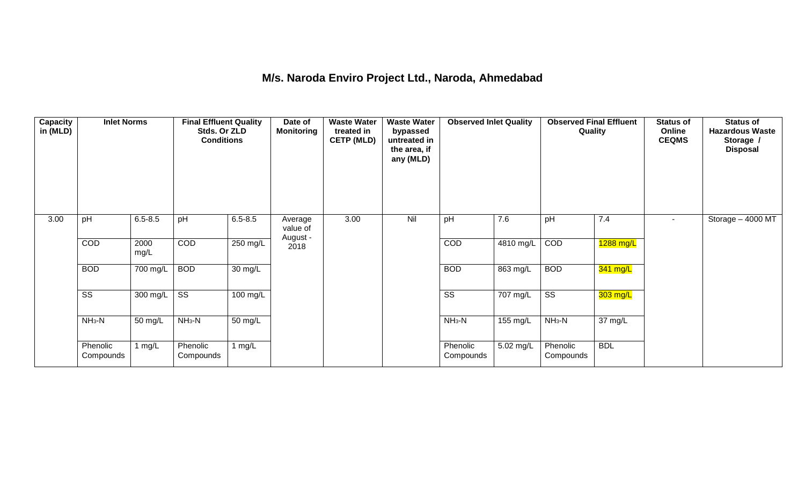### **M/s. Naroda Enviro Project Ltd., Naroda, Ahmedabad**

| <b>Capacity</b><br>in (MLD) | <b>Inlet Norms</b>     |                    | <b>Final Effluent Quality</b><br>Stds. Or ZLD<br><b>Conditions</b> |                    | Date of<br><b>Monitoring</b> | <b>Waste Water</b><br>treated in<br><b>CETP (MLD)</b> | <b>Waste Water</b><br>bypassed<br>untreated in<br>the area, if<br>any (MLD) | <b>Observed Inlet Quality</b> |           | <b>Observed Final Effluent</b><br>Quality |            | <b>Status of</b><br>Online<br><b>CEQMS</b> | <b>Status of</b><br><b>Hazardous Waste</b><br>Storage /<br><b>Disposal</b> |
|-----------------------------|------------------------|--------------------|--------------------------------------------------------------------|--------------------|------------------------------|-------------------------------------------------------|-----------------------------------------------------------------------------|-------------------------------|-----------|-------------------------------------------|------------|--------------------------------------------|----------------------------------------------------------------------------|
| 3.00                        | pH                     | $6.5 - 8.5$        | pH                                                                 | $6.5 - 8.5$        | Average<br>value of          | 3.00                                                  | Nil                                                                         | pH                            | 7.6       | pH                                        | 7.4        | $\sim$                                     | Storage - 4000 MT                                                          |
|                             | COD                    | 2000<br>mg/L       | COD                                                                | 250 mg/L           | August -<br>2018             |                                                       |                                                                             | COD                           | 4810 mg/L | COD                                       | 1288 mg/L  |                                            |                                                                            |
|                             | <b>BOD</b>             | 700 mg/L           | <b>BOD</b>                                                         | 30 mg/L            |                              |                                                       |                                                                             | <b>BOD</b>                    | 863 mg/L  | <b>BOD</b>                                | 341 mg/L   |                                            |                                                                            |
|                             | $\overline{\text{ss}}$ | $300 \text{ mg/L}$ | $\overline{\text{ss}}$                                             | $100 \text{ mg/L}$ |                              |                                                       |                                                                             | $\overline{\text{ss}}$        | 707 mg/L  | $\overline{\text{ss}}$                    | 303 mg/L   |                                            |                                                                            |
|                             | $NH3-N$                | 50 mg/L            | $NH3-N$                                                            | 50 mg/L            |                              |                                                       |                                                                             | $NH3-N$                       | 155 mg/L  | $NH3-N$                                   | 37 mg/L    |                                            |                                                                            |
|                             | Phenolic<br>Compounds  | 1 mg/L             | Phenolic<br>Compounds                                              | 1 $mg/L$           |                              |                                                       |                                                                             | Phenolic<br>Compounds         | 5.02 mg/L | Phenolic<br>Compounds                     | <b>BDL</b> |                                            |                                                                            |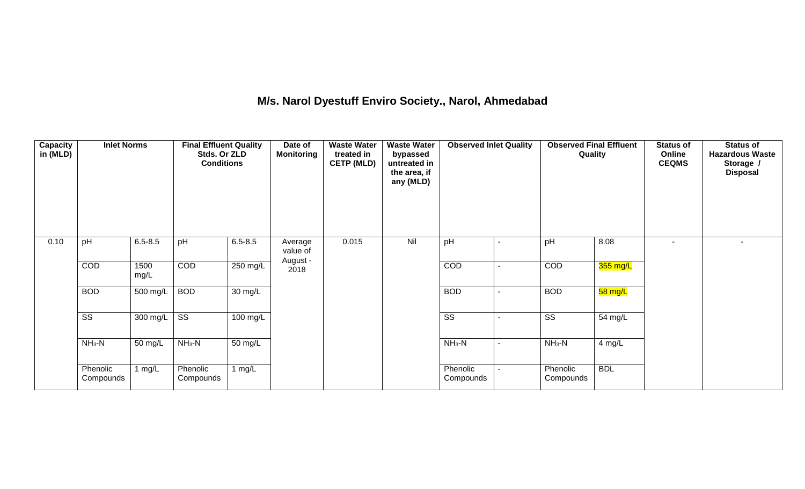### **M/s. Narol Dyestuff Enviro Society., Narol, Ahmedabad**

| <b>Capacity</b><br>in (MLD) | <b>Inlet Norms</b>     |                    | <b>Final Effluent Quality</b><br>Stds. Or ZLD<br><b>Conditions</b> |                      | Date of<br><b>Monitoring</b> | <b>Waste Water</b><br>treated in<br><b>CETP (MLD)</b> | <b>Waste Water</b><br>bypassed<br>untreated in<br>the area, if<br>any (MLD) | <b>Observed Inlet Quality</b> | <b>Observed Final Effluent</b><br>Quality |            | <b>Status of</b><br>Online<br><b>CEQMS</b> | <b>Status of</b><br><b>Hazardous Waste</b><br>Storage /<br><b>Disposal</b> |
|-----------------------------|------------------------|--------------------|--------------------------------------------------------------------|----------------------|------------------------------|-------------------------------------------------------|-----------------------------------------------------------------------------|-------------------------------|-------------------------------------------|------------|--------------------------------------------|----------------------------------------------------------------------------|
| 0.10                        | pH                     | $6.5 - 8.5$        | pH                                                                 | $6.5 - 8.5$          | Average<br>value of          | 0.015                                                 | Nil                                                                         | pH                            | pH                                        | 8.08       | ٠                                          | $\overline{a}$                                                             |
|                             | COD                    | 1500<br>mg/L       | COD                                                                | 250 mg/L             | August -<br>2018             |                                                       |                                                                             | COD                           | COD                                       | 355 mg/L   |                                            |                                                                            |
|                             | <b>BOD</b>             | 500 mg/L           | <b>BOD</b>                                                         | 30 mg/L              |                              |                                                       |                                                                             | <b>BOD</b>                    | <b>BOD</b>                                | 58 mg/L    |                                            |                                                                            |
|                             | $\overline{\text{ss}}$ | $300 \text{ mg/L}$ | $\overline{\text{ss}}$                                             | 100 mg/L             |                              |                                                       |                                                                             | $\overline{\text{ss}}$        | $\overline{\text{SS}}$                    | 54 mg/L    |                                            |                                                                            |
|                             | $NH3-N$                | 50 mg/L            | $NH3-N$                                                            | $\overline{50}$ mg/L |                              |                                                       |                                                                             | $NH3-N$                       | $NH_3-N$                                  | $4$ mg/L   |                                            |                                                                            |
|                             | Phenolic<br>Compounds  | 1 $mg/L$           | Phenolic<br>Compounds                                              | 1 $mg/L$             |                              |                                                       |                                                                             | Phenolic<br>Compounds         | Phenolic<br>Compounds                     | <b>BDL</b> |                                            |                                                                            |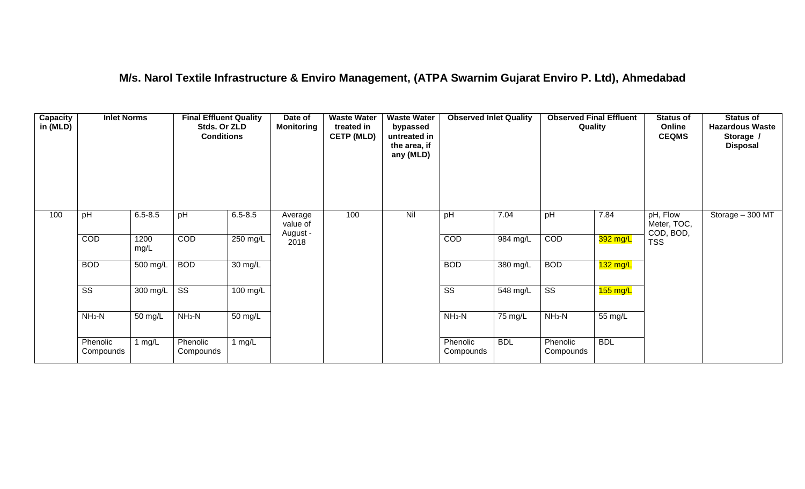### **M/s. Narol Textile Infrastructure & Enviro Management, (ATPA Swarnim Gujarat Enviro P. Ltd), Ahmedabad**

| <b>Capacity</b><br>in (MLD) | <b>Inlet Norms</b>     |              | <b>Final Effluent Quality</b><br>Stds. Or ZLD<br><b>Conditions</b> |                      | Date of<br><b>Monitoring</b> | <b>Waste Water</b><br>treated in<br><b>CETP (MLD)</b> | <b>Waste Water</b><br>bypassed<br>untreated in<br>the area, if<br>any (MLD) | <b>Observed Inlet Quality</b> |            | <b>Observed Final Effluent</b><br>Quality |            | <b>Status of</b><br>Online<br><b>CEQMS</b> | <b>Status of</b><br><b>Hazardous Waste</b><br>Storage /<br><b>Disposal</b> |
|-----------------------------|------------------------|--------------|--------------------------------------------------------------------|----------------------|------------------------------|-------------------------------------------------------|-----------------------------------------------------------------------------|-------------------------------|------------|-------------------------------------------|------------|--------------------------------------------|----------------------------------------------------------------------------|
| 100                         | pH                     | $6.5 - 8.5$  | pH                                                                 | $6.5 - 8.5$          | Average<br>value of          | 100                                                   | Nil                                                                         | pH                            | 7.04       | pH                                        | 7.84       | pH, Flow<br>Meter, TOC,<br>COD, BOD,       | Storage - 300 MT                                                           |
|                             | COD                    | 1200<br>mg/L | COD                                                                | 250 mg/L             | August -<br>2018             |                                                       |                                                                             | <b>COD</b>                    | 984 mg/L   | COD                                       | 392 mg/L   | <b>TSS</b>                                 |                                                                            |
|                             | <b>BOD</b>             | 500 mg/L     | <b>BOD</b>                                                         | $\overline{30}$ mg/L |                              |                                                       |                                                                             | <b>BOD</b>                    | 380 mg/L   | <b>BOD</b>                                | $132$ mg/L |                                            |                                                                            |
|                             | $\overline{\text{ss}}$ | 300 mg/L     | $\overline{\text{SS}}$                                             | 100 mg/L             |                              |                                                       |                                                                             | $\overline{\text{SS}}$        | 548 mg/L   | $\overline{\text{ss}}$                    | $155$ mg/L |                                            |                                                                            |
|                             | $NH3-N$                | 50 mg/L      | $NH3-N$                                                            | 50 mg/L              |                              |                                                       |                                                                             | $NH3-N$                       | 75 mg/L    | $NH3-N$                                   | 55 mg/L    |                                            |                                                                            |
|                             | Phenolic<br>Compounds  | 1 $mg/L$     | Phenolic<br>Compounds                                              | 1 $mg/L$             |                              |                                                       |                                                                             | Phenolic<br>Compounds         | <b>BDL</b> | Phenolic<br>Compounds                     | <b>BDL</b> |                                            |                                                                            |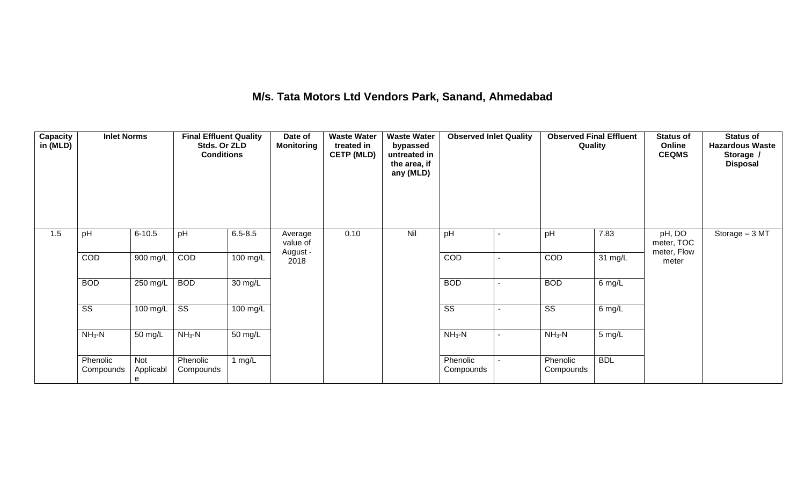### **M/s. Tata Motors Ltd Vendors Park, Sanand, Ahmedabad**

| Capacity<br>in (MLD) | <b>Inlet Norms</b>     |                       | <b>Final Effluent Quality</b><br>Stds. Or ZLD<br><b>Conditions</b> |                      | Date of<br><b>Monitoring</b>    | <b>Waste Water</b><br>treated in<br><b>CETP (MLD)</b> | <b>Waste Water</b><br>bypassed<br>untreated in<br>the area, if<br>any (MLD) | <b>Observed Inlet Quality</b> | <b>Observed Final Effluent</b><br>Quality |            | <b>Status of</b><br>Online<br><b>CEQMS</b> | <b>Status of</b><br><b>Hazardous Waste</b><br>Storage /<br><b>Disposal</b> |
|----------------------|------------------------|-----------------------|--------------------------------------------------------------------|----------------------|---------------------------------|-------------------------------------------------------|-----------------------------------------------------------------------------|-------------------------------|-------------------------------------------|------------|--------------------------------------------|----------------------------------------------------------------------------|
| 1.5                  | pH                     | $6 - 10.5$            | pH                                                                 | $6.5 - 8.5$          | Average<br>value of<br>August - | 0.10                                                  | Nil                                                                         | pH                            | pH                                        | 7.83       | pH, DO<br>meter, TOC<br>meter, Flow        | Storage - 3 MT                                                             |
|                      | COD                    | 900 mg/L              | COD                                                                | $100$ mg/L           | 2018                            |                                                       |                                                                             | COD                           | COD                                       | 31 mg/L    | meter                                      |                                                                            |
|                      | <b>BOD</b>             | $250$ mg/L            | <b>BOD</b>                                                         | $\overline{30}$ mg/L |                                 |                                                       |                                                                             | <b>BOD</b>                    | <b>BOD</b>                                | 6 mg/L     |                                            |                                                                            |
|                      | $\overline{\text{ss}}$ | 100 mg/L              | $\overline{\text{ss}}$                                             | $100 \text{ mg/L}$   |                                 |                                                       |                                                                             | $\overline{\text{SS}}$        | $\overline{\text{SS}}$                    | 6 mg/L     |                                            |                                                                            |
|                      | $NH3-N$                | 50 mg/L               | $NH3-N$                                                            | 50 mg/L              |                                 |                                                       |                                                                             | $NH_3-N$                      | $NH3-N$                                   | 5 mg/L     |                                            |                                                                            |
|                      | Phenolic<br>Compounds  | Not<br>Applicabl<br>e | Phenolic<br>Compounds                                              | 1 $mg/L$             |                                 |                                                       |                                                                             | Phenolic<br>Compounds         | Phenolic<br>Compounds                     | <b>BDL</b> |                                            |                                                                            |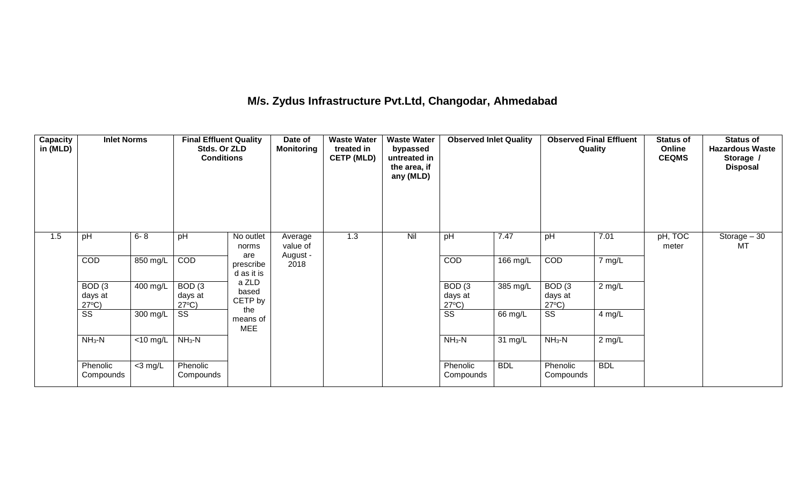### **M/s. Zydus Infrastructure Pvt.Ltd, Changodar, Ahmedabad**

| <b>Capacity</b><br>in (MLD) | <b>Inlet Norms</b>                              |                               | <b>Final Effluent Quality</b><br>Stds. Or ZLD<br><b>Conditions</b> |                                | Date of<br><b>Monitoring</b> | <b>Waste Water</b><br>treated in<br><b>CETP (MLD)</b> | <b>Waste Water</b><br>bypassed<br>untreated in<br>the area, if<br>any (MLD) | <b>Observed Inlet Quality</b>                   |            | <b>Observed Final Effluent</b><br>Quality |            | <b>Status of</b><br>Online<br><b>CEQMS</b> | <b>Status of</b><br><b>Hazardous Waste</b><br>Storage /<br><b>Disposal</b> |
|-----------------------------|-------------------------------------------------|-------------------------------|--------------------------------------------------------------------|--------------------------------|------------------------------|-------------------------------------------------------|-----------------------------------------------------------------------------|-------------------------------------------------|------------|-------------------------------------------|------------|--------------------------------------------|----------------------------------------------------------------------------|
| 1.5                         | pH                                              | $6 - 8$                       | pH                                                                 | No outlet<br>norms             | Average<br>value of          | 1.3                                                   | Nil                                                                         | pH                                              | 7.47       | pH                                        | 7.01       | pH, TOC<br>meter                           | Storage $-30$<br>MT                                                        |
|                             | COD                                             | 850 mg/L                      | COD                                                                | are<br>prescribe<br>d as it is | August -<br>2018             |                                                       |                                                                             | COD                                             | 166 mg/L   | COD                                       | 7 mg/L     |                                            |                                                                            |
|                             | BOD <sub>(3</sub><br>days at<br>$27^{\circ}C$ ) | 400 mg/L                      | BOD <sub>(3</sub><br>days at<br>$27^{\circ}C$ )                    | a ZLD<br>based<br>CETP by      |                              |                                                       |                                                                             | BOD <sub>(3</sub><br>days at<br>$27^{\circ}C$ ) | 385 mg/L   | BOD(3)<br>days at<br>$27^{\circ}C$ )      | $2$ mg/L   |                                            |                                                                            |
|                             | SS                                              | 300 mg/L                      | SS                                                                 | the<br>means of<br><b>MEE</b>  |                              |                                                       |                                                                             | $\overline{\text{ss}}$                          | 66 mg/L    | $\overline{\text{ss}}$                    | 4 mg/L     |                                            |                                                                            |
|                             | $NH3-N$                                         | $\overline{<}10 \text{ mg/L}$ | $NH3-N$                                                            |                                |                              |                                                       |                                                                             | $NH3-N$                                         | 31 mg/L    | $NH3-N$                                   | $2$ mg/L   |                                            |                                                                            |
|                             | Phenolic<br>Compounds                           | $<$ 3 mg/L                    | Phenolic<br>Compounds                                              |                                |                              |                                                       |                                                                             | Phenolic<br>Compounds                           | <b>BDL</b> | Phenolic<br>Compounds                     | <b>BDL</b> |                                            |                                                                            |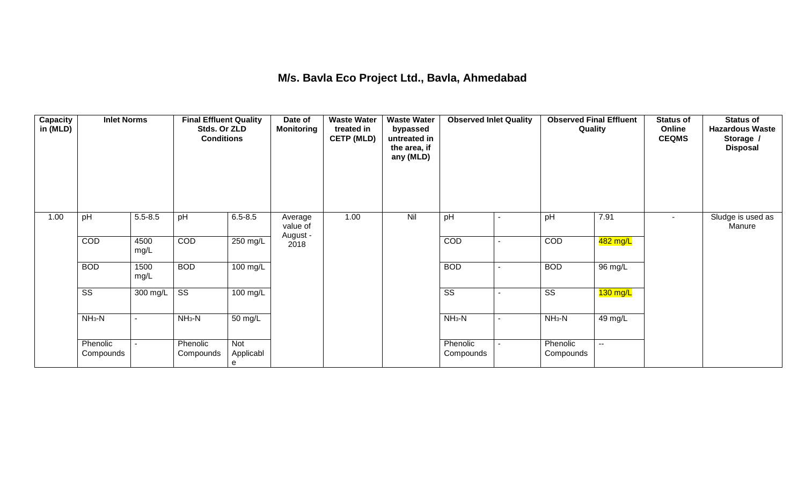### **M/s. Bavla Eco Project Ltd., Bavla, Ahmedabad**

| <b>Capacity</b><br>in (MLD) | <b>Inlet Norms</b>     |              | <b>Final Effluent Quality</b><br>Stds. Or ZLD<br><b>Conditions</b> |                       | Date of<br><b>Monitoring</b> | <b>Waste Water</b><br>treated in<br><b>CETP (MLD)</b> | <b>Waste Water</b><br>bypassed<br>untreated in<br>the area, if<br>any (MLD) | <b>Observed Inlet Quality</b> |                | <b>Observed Final Effluent</b><br>Quality |            | <b>Status of</b><br>Online<br><b>CEQMS</b> | <b>Status of</b><br><b>Hazardous Waste</b><br>Storage /<br><b>Disposal</b> |
|-----------------------------|------------------------|--------------|--------------------------------------------------------------------|-----------------------|------------------------------|-------------------------------------------------------|-----------------------------------------------------------------------------|-------------------------------|----------------|-------------------------------------------|------------|--------------------------------------------|----------------------------------------------------------------------------|
| 1.00                        | pH                     | $5.5 - 8.5$  | pH                                                                 | $6.5 - 8.5$           | Average<br>value of          | 1.00                                                  | Nil                                                                         | pH                            | ۰              | pH                                        | 7.91       |                                            | Sludge is used as<br>Manure                                                |
|                             | COD                    | 4500<br>mg/L | COD                                                                | $250$ mg/L            | August -<br>2018             |                                                       |                                                                             | COD                           |                | COD                                       | 482 mg/L   |                                            |                                                                            |
|                             | <b>BOD</b>             | 1500<br>mg/L | <b>BOD</b>                                                         | $100 \text{ mg/L}$    |                              |                                                       |                                                                             | <b>BOD</b>                    |                | <b>BOD</b>                                | 96 mg/L    |                                            |                                                                            |
|                             | $\overline{\text{ss}}$ | 300 mg/L     | $\overline{\text{ss}}$                                             | 100 mg/L              |                              |                                                       |                                                                             | $\overline{\text{ss}}$        |                | $\overline{\text{ss}}$                    | $130$ mg/L |                                            |                                                                            |
|                             | $NH3-N$                |              | $NH3-N$                                                            | 50 mg/L               |                              |                                                       |                                                                             | $NH3-N$                       | $\blacksquare$ | $NH3-N$                                   | 49 mg/L    |                                            |                                                                            |
|                             | Phenolic<br>Compounds  |              | Phenolic<br>Compounds                                              | Not<br>Applicabl<br>e |                              |                                                       |                                                                             | Phenolic<br>Compounds         |                | Phenolic<br>Compounds                     | --         |                                            |                                                                            |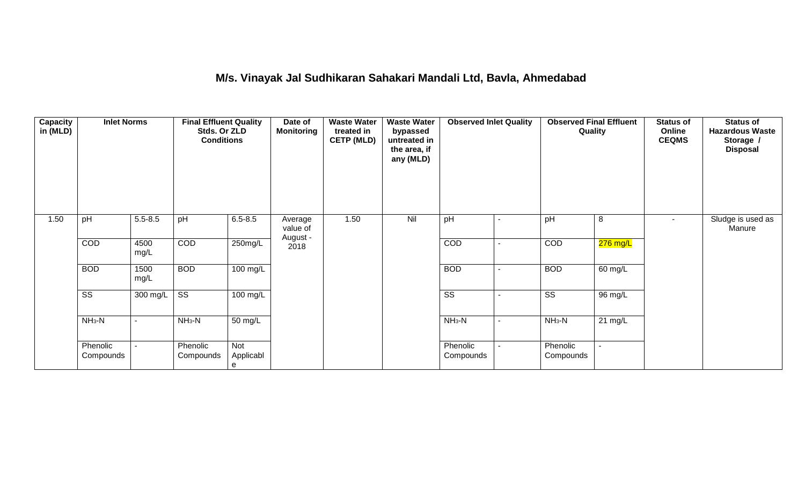### **M/s. Vinayak Jal Sudhikaran Sahakari Mandali Ltd, Bavla, Ahmedabad**

| <b>Capacity</b><br>in (MLD) | <b>Inlet Norms</b>     |              | <b>Final Effluent Quality</b><br>Stds. Or ZLD<br><b>Conditions</b> |                       | Date of<br><b>Monitoring</b>    | <b>Waste Water</b><br>treated in<br><b>CETP (MLD)</b> | <b>Waste Water</b><br>bypassed<br>untreated in<br>the area, if<br>any (MLD) | <b>Observed Inlet Quality</b> |                          |                        | <b>Observed Final Effluent</b><br>Quality | <b>Status of</b><br>Online<br><b>CEQMS</b> | <b>Status of</b><br><b>Hazardous Waste</b><br>Storage /<br><b>Disposal</b> |
|-----------------------------|------------------------|--------------|--------------------------------------------------------------------|-----------------------|---------------------------------|-------------------------------------------------------|-----------------------------------------------------------------------------|-------------------------------|--------------------------|------------------------|-------------------------------------------|--------------------------------------------|----------------------------------------------------------------------------|
| 1.50                        | pH                     | $5.5 - 8.5$  | pH                                                                 | $6.5 - 8.5$           | Average<br>value of<br>August - | 1.50                                                  | Nil                                                                         | pH                            |                          | pH                     | 8                                         | $\sim$                                     | Sludge is used as<br>Manure                                                |
|                             | COD                    | 4500<br>mg/L | COD                                                                | 250mg/L               | 2018                            |                                                       |                                                                             | COD                           | $\overline{\phantom{a}}$ | COD                    | $276$ mg/L                                |                                            |                                                                            |
|                             | <b>BOD</b>             | 1500<br>mg/L | <b>BOD</b>                                                         | 100 mg/L              |                                 |                                                       |                                                                             | <b>BOD</b>                    | $\overline{\phantom{a}}$ | <b>BOD</b>             | 60 mg/L                                   |                                            |                                                                            |
|                             | $\overline{\text{ss}}$ | 300 mg/L     | $\overline{\text{SS}}$                                             | 100 mg/L              |                                 |                                                       |                                                                             | $\overline{\text{SS}}$        | $\overline{\phantom{a}}$ | $\overline{\text{ss}}$ | $\overline{96}$ mg/L                      |                                            |                                                                            |
|                             | $NH3-N$                |              | $NH3-N$                                                            | 50 mg/L               |                                 |                                                       |                                                                             | $NH_3-N$                      | $\blacksquare$           | $NH3-N$                | $21 \text{ mg/L}$                         |                                            |                                                                            |
|                             | Phenolic<br>Compounds  |              | Phenolic<br>Compounds                                              | Not<br>Applicabl<br>e |                                 |                                                       |                                                                             | Phenolic<br>Compounds         | $\blacksquare$           | Phenolic<br>Compounds  |                                           |                                            |                                                                            |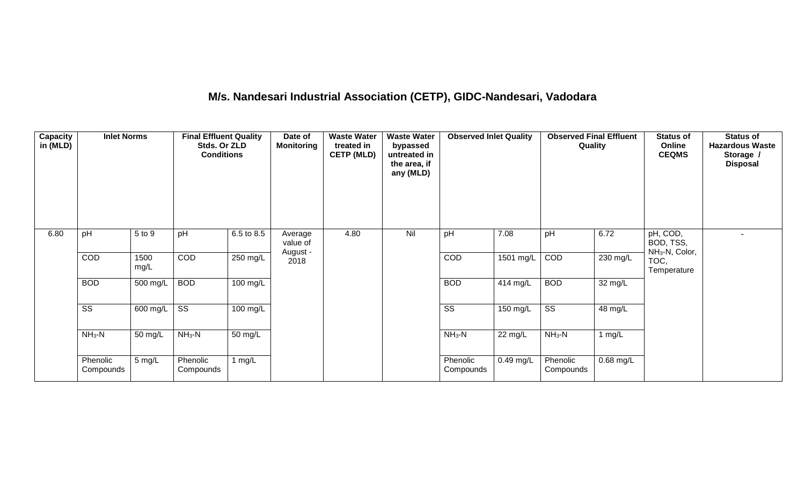# **M/s. Nandesari Industrial Association (CETP), GIDC-Nandesari, Vadodara**

| <b>Capacity</b><br>in (MLD) | <b>Inlet Norms</b>     |              | <b>Final Effluent Quality</b><br>Stds. Or ZLD<br><b>Conditions</b> |                    | Date of<br><b>Monitoring</b>    | <b>Waste Water</b><br>treated in<br><b>CETP (MLD)</b> | <b>Waste Water</b><br>bypassed<br>untreated in<br>the area, if<br>any (MLD) | <b>Observed Inlet Quality</b> |             | <b>Observed Final Effluent</b><br>Quality |                      | <b>Status of</b><br>Online<br><b>CEQMS</b>          | <b>Status of</b><br><b>Hazardous Waste</b><br>Storage /<br><b>Disposal</b> |
|-----------------------------|------------------------|--------------|--------------------------------------------------------------------|--------------------|---------------------------------|-------------------------------------------------------|-----------------------------------------------------------------------------|-------------------------------|-------------|-------------------------------------------|----------------------|-----------------------------------------------------|----------------------------------------------------------------------------|
| 6.80                        | pH                     | 5 to 9       | pH                                                                 | 6.5 to 8.5         | Average<br>value of<br>August - | 4.80                                                  | Nil                                                                         | pH                            | 7.08        | pH                                        | 6.72                 | pH, COD,<br>BOD, TSS,<br>NH <sub>3</sub> -N, Color, |                                                                            |
|                             | COD                    | 1500<br>mg/L | COD                                                                | 250 mg/L           | 2018                            |                                                       |                                                                             | COD                           | 1501 mg/L   | COD                                       | 230 mg/L             | TOC,<br>Temperature                                 |                                                                            |
|                             | <b>BOD</b>             | 500 mg/L     | <b>BOD</b>                                                         | $100 \text{ mg/L}$ |                                 |                                                       |                                                                             | <b>BOD</b>                    | 414 mg/L    | <b>BOD</b>                                | $\overline{32}$ mg/L |                                                     |                                                                            |
|                             | $\overline{\text{ss}}$ | 600 mg/L     | $\overline{\text{ss}}$                                             | 100 mg/L           |                                 |                                                       |                                                                             | $\overline{\text{ss}}$        | $150$ mg/L  | $\overline{\text{ss}}$                    | 48 mg/L              |                                                     |                                                                            |
|                             | $NH3-N$                | 50 mg/L      | $NH3-N$                                                            | 50 mg/L            |                                 |                                                       |                                                                             | $NH3-N$                       | 22 mg/L     | $NH3-N$                                   | 1 $mg/L$             |                                                     |                                                                            |
|                             | Phenolic<br>Compounds  | 5 mg/L       | Phenolic<br>Compounds                                              | 1 mg/ $L$          |                                 |                                                       |                                                                             | Phenolic<br>Compounds         | $0.49$ mg/L | Phenolic<br>Compounds                     | 0.68 mg/L            |                                                     |                                                                            |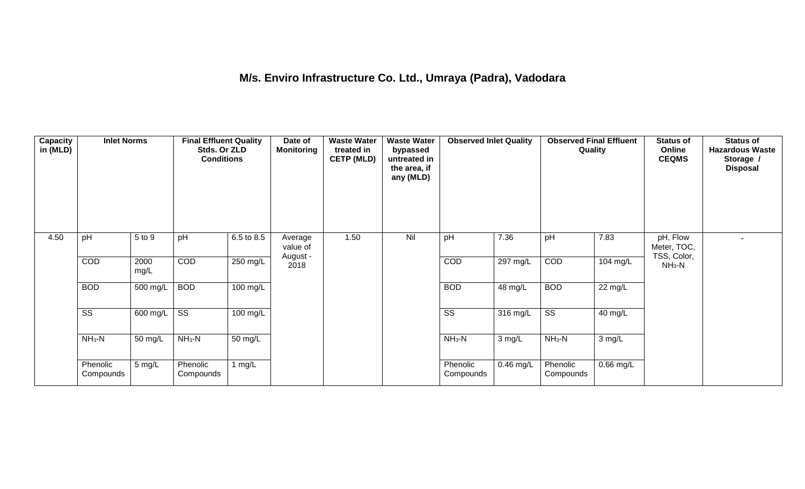# **M/s. Enviro Infrastructure Co. Ltd., Umraya (Padra), Vadodara**

| Capacity<br>in (MLD) | <b>Inlet Norms</b>     |                       | <b>Final Effluent Quality</b><br>Stds. Or ZLD<br><b>Conditions</b> |                    | Date of<br><b>Monitoring</b>    | <b>Waste Water</b><br>treated in<br><b>CETP (MLD)</b> | <b>Waste Water</b><br>bypassed<br>untreated in<br>the area, if<br>any (MLD) | <b>Observed Inlet Quality</b> |                    | <b>Observed Final Effluent</b><br>Quality |                   | <b>Status of</b><br>Online<br><b>CEQMS</b> | <b>Status of</b><br><b>Hazardous Waste</b><br>Storage /<br><b>Disposal</b> |
|----------------------|------------------------|-----------------------|--------------------------------------------------------------------|--------------------|---------------------------------|-------------------------------------------------------|-----------------------------------------------------------------------------|-------------------------------|--------------------|-------------------------------------------|-------------------|--------------------------------------------|----------------------------------------------------------------------------|
| 4.50                 | pH                     | 5 to 9                | pH                                                                 | 6.5 to 8.5         | Average<br>value of<br>August - | 1.50                                                  | Nil                                                                         | pH                            | 7.36               | pH                                        | 7.83              | pH, Flow<br>Meter, TOC,<br>TSS, Color,     |                                                                            |
|                      | COD                    | 2000<br>mg/L          | COD                                                                | 250 mg/L           | 2018                            |                                                       |                                                                             | COD                           | 297 mg/L           | COD                                       | 104 mg/L          | $NH3-N$                                    |                                                                            |
|                      | <b>BOD</b>             | 500 mg/L              | <b>BOD</b>                                                         | $100 \text{ mg/L}$ |                                 |                                                       |                                                                             | <b>BOD</b>                    | 48 mg/L            | <b>BOD</b>                                | $22 \text{ mg/L}$ |                                            |                                                                            |
|                      | $\overline{\text{ss}}$ | $\overline{600}$ mg/L | $\overline{\text{ss}}$                                             | 100 mg/L           |                                 |                                                       |                                                                             | $\overline{\text{ss}}$        | $316 \text{ mg/L}$ | $\overline{\text{ss}}$                    | 40 mg/L           |                                            |                                                                            |
|                      | $NH3-N$                | 50 mg/L               | $NH3-N$                                                            | 50 mg/L            |                                 |                                                       |                                                                             | $NH3-N$                       | $3 \text{ mg/L}$   | $NH3-N$                                   | 3 mg/L            |                                            |                                                                            |
|                      | Phenolic<br>Compounds  | 5 mg/L                | Phenolic<br>Compounds                                              | 1 mg/ $L$          |                                 |                                                       |                                                                             | Phenolic<br>Compounds         | $0.46$ mg/L        | Phenolic<br>Compounds                     | 0.66 mg/L         |                                            |                                                                            |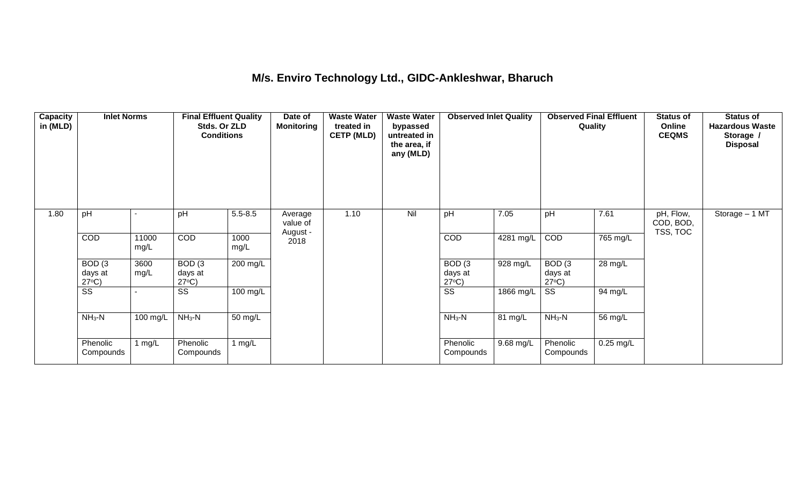#### **M/s. Enviro Technology Ltd., GIDC-Ankleshwar, Bharuch**

| <b>Capacity</b><br>in (MLD) | <b>Inlet Norms</b>                              |               | <b>Final Effluent Quality</b><br>Stds. Or ZLD<br><b>Conditions</b> |              | Date of<br><b>Monitoring</b>    | <b>Waste Water</b><br>treated in<br><b>CETP (MLD)</b> | <b>Waste Water</b><br>bypassed<br>untreated in<br>the area, if<br>any (MLD) | <b>Observed Inlet Quality</b>        |            | <b>Observed Final Effluent</b><br>Quality |             | <b>Status of</b><br>Online<br><b>CEQMS</b> | <b>Status of</b><br><b>Hazardous Waste</b><br>Storage /<br><b>Disposal</b> |
|-----------------------------|-------------------------------------------------|---------------|--------------------------------------------------------------------|--------------|---------------------------------|-------------------------------------------------------|-----------------------------------------------------------------------------|--------------------------------------|------------|-------------------------------------------|-------------|--------------------------------------------|----------------------------------------------------------------------------|
| 1.80                        | pH                                              |               | pH                                                                 | $5.5 - 8.5$  | Average<br>value of<br>August - | 1.10                                                  | Nil                                                                         | pH                                   | 7.05       | pH                                        | 7.61        | pH, Flow,<br>COD, BOD,<br>TSS, TOC         | Storage - 1 MT                                                             |
|                             | COD                                             | 11000<br>mg/L | <b>COD</b>                                                         | 1000<br>mg/L | 2018                            |                                                       |                                                                             | COD                                  | 4281 mg/L  | <b>COD</b>                                | 765 mg/L    |                                            |                                                                            |
|                             | BOD <sub>(3</sub><br>days at<br>$27^{\circ}C$ ) | 3600<br>mg/L  | BOD(3)<br>days at<br>$27^{\circ}C$ )                               | 200 mg/L     |                                 |                                                       |                                                                             | BOD(3)<br>days at<br>$27^{\circ}C$ ) | $928$ mg/L | BOD(3)<br>days at<br>$27^{\circ}C$        | 28 mg/L     |                                            |                                                                            |
|                             | $\overline{\text{ss}}$                          |               | $\overline{\text{SS}}$                                             | 100 mg/L     |                                 |                                                       |                                                                             | $\overline{\text{SS}}$               | 1866 mg/L  | $\overline{\text{ss}}$                    | 94 mg/L     |                                            |                                                                            |
|                             | $NH3-N$                                         | 100 mg/L      | $NH3-N$                                                            | 50 mg/L      |                                 |                                                       |                                                                             | $NH3-N$                              | 81 mg/L    | $NH3-N$                                   | 56 mg/L     |                                            |                                                                            |
|                             | Phenolic<br>Compounds                           | 1 $mg/L$      | Phenolic<br>Compounds                                              | 1 $mg/L$     |                                 |                                                       |                                                                             | Phenolic<br>Compounds                | 9.68 mg/L  | Phenolic<br>Compounds                     | $0.25$ mg/L |                                            |                                                                            |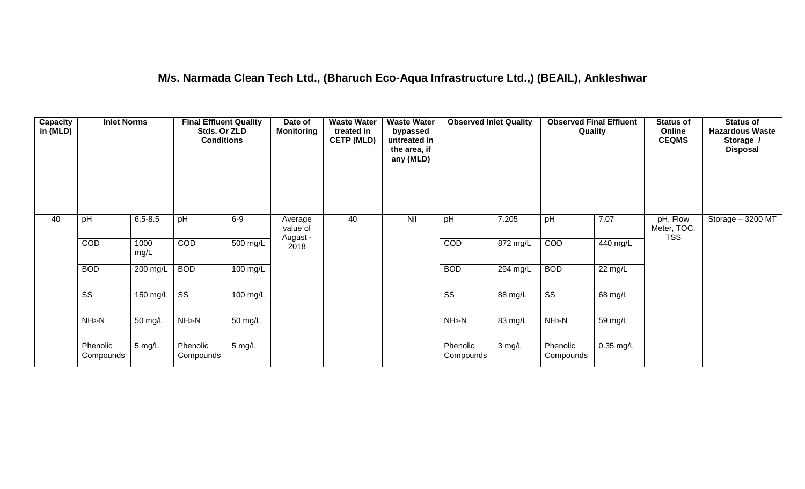#### **M/s. Narmada Clean Tech Ltd., (Bharuch Eco-Aqua Infrastructure Ltd.,) (BEAIL), Ankleshwar**

| <b>Capacity</b><br>in (MLD) | <b>Inlet Norms</b>     |              | <b>Final Effluent Quality</b><br>Stds. Or ZLD<br><b>Conditions</b> |                  | Date of<br><b>Monitoring</b>    | <b>Waste Water</b><br>treated in<br><b>CETP (MLD)</b> | <b>Waste Water</b><br>bypassed<br>untreated in<br>the area, if<br>any (MLD) | <b>Observed Inlet Quality</b> |                       | <b>Observed Final Effluent</b><br>Quality |                   | <b>Status of</b><br>Online<br><b>CEQMS</b> | <b>Status of</b><br><b>Hazardous Waste</b><br>Storage /<br><b>Disposal</b> |
|-----------------------------|------------------------|--------------|--------------------------------------------------------------------|------------------|---------------------------------|-------------------------------------------------------|-----------------------------------------------------------------------------|-------------------------------|-----------------------|-------------------------------------------|-------------------|--------------------------------------------|----------------------------------------------------------------------------|
| 40                          | pH                     | $6.5 - 8.5$  | pH                                                                 | $6-9$            | Average<br>value of<br>August - | 40                                                    | Nil                                                                         | pH                            | 7.205                 | pH                                        | 7.07              | pH, Flow<br>Meter, TOC,<br><b>TSS</b>      | Storage - 3200 MT                                                          |
|                             | COD                    | 1000<br>mg/L | COD                                                                | 500 mg/L         | 2018                            |                                                       |                                                                             | COD                           | $\overline{872}$ mg/L | COD                                       | 440 mg/L          |                                            |                                                                            |
|                             | <b>BOD</b>             | 200 mg/L     | <b>BOD</b>                                                         | 100 mg/L         |                                 |                                                       |                                                                             | <b>BOD</b>                    | 294 mg/L              | <b>BOD</b>                                | $22 \text{ mg/L}$ |                                            |                                                                            |
|                             | $\overline{\text{ss}}$ | 150 mg/L     | $\overline{\text{ss}}$                                             | $100$ mg/L       |                                 |                                                       |                                                                             | $\overline{\text{ss}}$        | 88 mg/L               | $\overline{\text{ss}}$                    | 68 mg/L           |                                            |                                                                            |
|                             | $NH3-N$                | 50 mg/L      | $NH3-N$                                                            | 50 mg/L          |                                 |                                                       |                                                                             | $NH3-N$                       | 83 mg/L               | $NH_3-N$                                  | 59 mg/L           |                                            |                                                                            |
|                             | Phenolic<br>Compounds  | 5 mg/L       | Phenolic<br>Compounds                                              | $5 \text{ mg/L}$ |                                 |                                                       |                                                                             | Phenolic<br>Compounds         | 3 mg/L                | Phenolic<br>Compounds                     | $0.35$ mg/L       |                                            |                                                                            |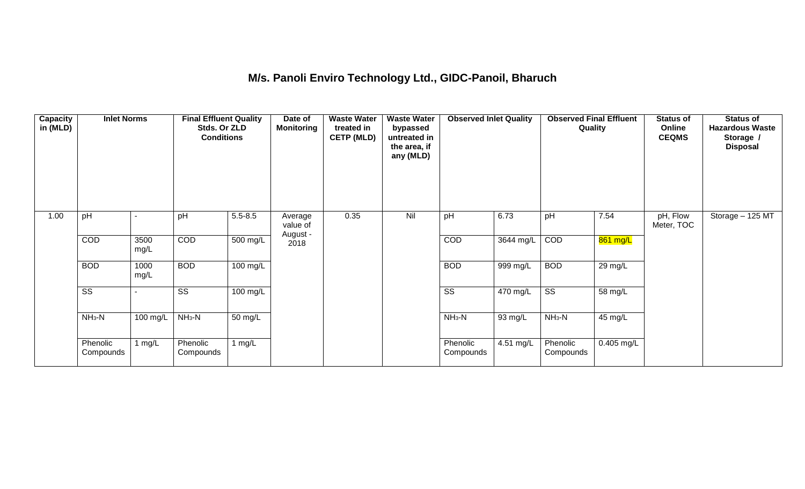### **M/s. Panoli Enviro Technology Ltd., GIDC-Panoil, Bharuch**

| <b>Capacity</b><br>in (MLD) | <b>Inlet Norms</b>     |              | <b>Final Effluent Quality</b><br>Stds. Or ZLD<br><b>Conditions</b> |                    | Date of<br><b>Monitoring</b>    | <b>Waste Water</b><br>treated in<br><b>CETP (MLD)</b> | <b>Waste Water</b><br>bypassed<br>untreated in<br>the area, if<br>any (MLD) | <b>Observed Inlet Quality</b> |           | <b>Observed Final Effluent</b><br>Quality |            | <b>Status of</b><br>Online<br><b>CEQMS</b> | <b>Status of</b><br><b>Hazardous Waste</b><br>Storage /<br><b>Disposal</b> |
|-----------------------------|------------------------|--------------|--------------------------------------------------------------------|--------------------|---------------------------------|-------------------------------------------------------|-----------------------------------------------------------------------------|-------------------------------|-----------|-------------------------------------------|------------|--------------------------------------------|----------------------------------------------------------------------------|
| 1.00                        | pH                     |              | pH                                                                 | $5.5 - 8.5$        | Average<br>value of<br>August - | 0.35                                                  | Nil                                                                         | pH                            | 6.73      | pH                                        | 7.54       | pH, Flow<br>Meter, TOC                     | Storage - 125 MT                                                           |
|                             | COD                    | 3500<br>mg/L | <b>COD</b>                                                         | 500 mg/L           | 2018                            |                                                       |                                                                             | COD                           | 3644 mg/L | COD                                       | 861 mg/L   |                                            |                                                                            |
|                             | <b>BOD</b>             | 1000<br>mg/L | <b>BOD</b>                                                         | $100 \text{ mg/L}$ |                                 |                                                       |                                                                             | <b>BOD</b>                    | 999 mg/L  | <b>BOD</b>                                | 29 mg/L    |                                            |                                                                            |
|                             | $\overline{\text{SS}}$ |              | SS                                                                 | 100 mg/L           |                                 |                                                       |                                                                             | $\overline{\text{ss}}$        | 470 mg/L  | $\overline{\text{SS}}$                    | 58 mg/L    |                                            |                                                                            |
|                             | $NH3-N$                | 100 mg/L     | $NH3-N$                                                            | 50 mg/L            |                                 |                                                       |                                                                             | $NH3-N$                       | 93 mg/L   | $NH3-N$                                   | 45 mg/L    |                                            |                                                                            |
|                             | Phenolic<br>Compounds  | 1 $mg/L$     | Phenolic<br>Compounds                                              | 1 $mg/L$           |                                 |                                                       |                                                                             | Phenolic<br>Compounds         | 4.51 mg/L | Phenolic<br>Compounds                     | 0.405 mg/L |                                            |                                                                            |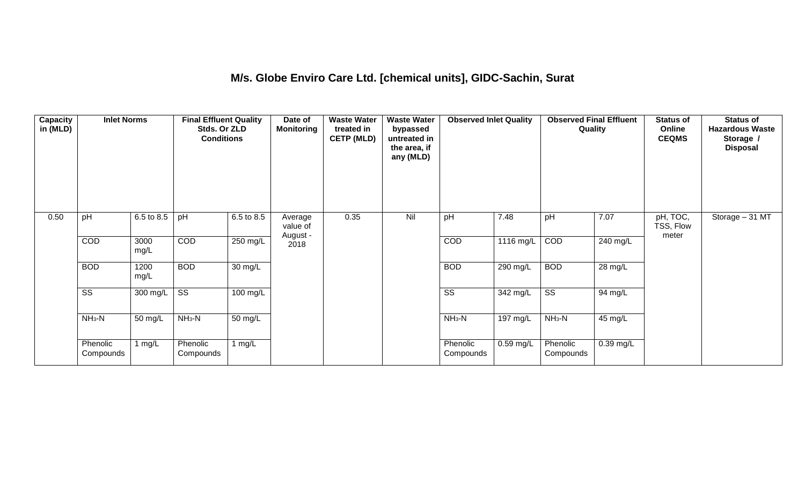#### **M/s. Globe Enviro Care Ltd. [chemical units], GIDC-Sachin, Surat**

| Capacity<br>in (MLD) | <b>Inlet Norms</b>     |              | <b>Final Effluent Quality</b><br>Stds. Or ZLD<br><b>Conditions</b> |                      | Date of<br><b>Monitoring</b>    | <b>Waste Water</b><br>treated in<br><b>CETP (MLD)</b> | <b>Waste Water</b><br>bypassed<br>untreated in<br>the area, if<br>any (MLD) | <b>Observed Inlet Quality</b> |             | <b>Observed Final Effluent</b><br>Quality |             | <b>Status of</b><br>Online<br><b>CEQMS</b> | <b>Status of</b><br><b>Hazardous Waste</b><br>Storage /<br><b>Disposal</b> |
|----------------------|------------------------|--------------|--------------------------------------------------------------------|----------------------|---------------------------------|-------------------------------------------------------|-----------------------------------------------------------------------------|-------------------------------|-------------|-------------------------------------------|-------------|--------------------------------------------|----------------------------------------------------------------------------|
| 0.50                 | pH                     | 6.5 to 8.5   | pH                                                                 | 6.5 to 8.5           | Average<br>value of<br>August - | 0.35                                                  | Nil                                                                         | pH                            | 7.48        | pH                                        | 7.07        | pH, TOC,<br>TSS, Flow<br>meter             | Storage - 31 MT                                                            |
|                      | COD                    | 3000<br>mg/L | COD                                                                | 250 mg/L             | 2018                            |                                                       |                                                                             | COD                           | 1116 mg/L   | COD                                       | 240 mg/L    |                                            |                                                                            |
|                      | <b>BOD</b>             | 1200<br>mg/L | <b>BOD</b>                                                         | $\overline{30}$ mg/L |                                 |                                                       |                                                                             | <b>BOD</b>                    | 290 mg/L    | <b>BOD</b>                                | 28 mg/L     |                                            |                                                                            |
|                      | $\overline{\text{ss}}$ | 300 mg/L     | $\overline{\text{ss}}$                                             | $100 \text{ mg/L}$   |                                 |                                                       |                                                                             | $\overline{\text{ss}}$        | 342 mg/L    | $\overline{\text{ss}}$                    | 94 mg/L     |                                            |                                                                            |
|                      | $NH3-N$                | 50 mg/L      | $NH3-N$                                                            | 50 mg/L              |                                 |                                                       |                                                                             | $NH3-N$                       | 197 mg/L    | $NH3-N$                                   | 45 mg/L     |                                            |                                                                            |
|                      | Phenolic<br>Compounds  | 1 mg/L       | Phenolic<br>Compounds                                              | 1 $mg/L$             |                                 |                                                       |                                                                             | Phenolic<br>Compounds         | $0.59$ mg/L | Phenolic<br>Compounds                     | $0.39$ mg/L |                                            |                                                                            |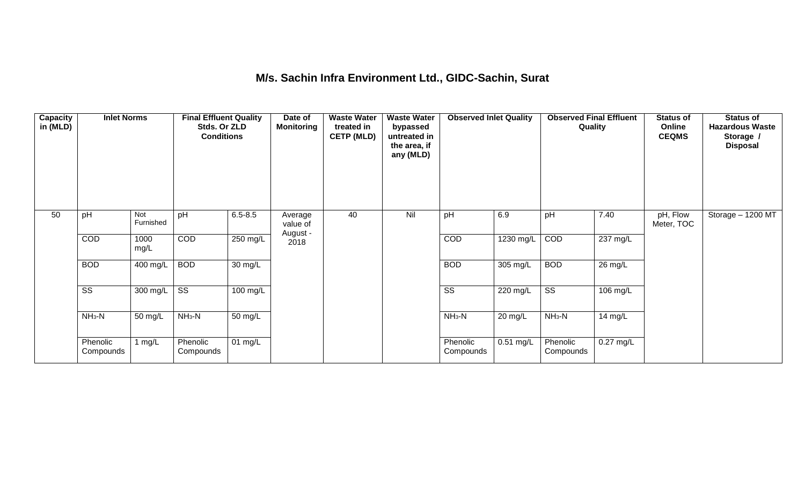#### **M/s. Sachin Infra Environment Ltd., GIDC-Sachin, Surat**

| <b>Capacity</b><br>in (MLD) | <b>Inlet Norms</b>     |                         | <b>Final Effluent Quality</b><br>Stds. Or ZLD<br><b>Conditions</b> |             | Date of<br><b>Monitoring</b>    | <b>Waste Water</b><br>treated in<br><b>CETP (MLD)</b> | <b>Waste Water</b><br>bypassed<br>untreated in<br>the area, if<br>any (MLD) | <b>Observed Inlet Quality</b> |                        | <b>Observed Final Effluent</b><br>Quality |                       | <b>Status of</b><br>Online<br><b>CEQMS</b> | <b>Status of</b><br><b>Hazardous Waste</b><br>Storage /<br><b>Disposal</b> |
|-----------------------------|------------------------|-------------------------|--------------------------------------------------------------------|-------------|---------------------------------|-------------------------------------------------------|-----------------------------------------------------------------------------|-------------------------------|------------------------|-------------------------------------------|-----------------------|--------------------------------------------|----------------------------------------------------------------------------|
| 50                          | pH                     | <b>Not</b><br>Furnished | pH                                                                 | $6.5 - 8.5$ | Average<br>value of<br>August - | 40                                                    | Nil                                                                         | pH                            | 6.9                    | pH                                        | 7.40                  | pH, Flow<br>Meter, TOC                     | Storage - 1200 MT                                                          |
|                             | COD                    | 1000<br>mg/L            | <b>COD</b>                                                         | 250 mg/L    | 2018                            |                                                       |                                                                             | COD                           | $\overline{12}30$ mg/L | COD                                       | $\overline{237}$ mg/L |                                            |                                                                            |
|                             | <b>BOD</b>             | 400 mg/L                | <b>BOD</b>                                                         | 30 mg/L     |                                 |                                                       |                                                                             | <b>BOD</b>                    | 305 mg/L               | <b>BOD</b>                                | 26 mg/L               |                                            |                                                                            |
|                             | $\overline{\text{ss}}$ | 300 mg/L                | $\overline{\text{SS}}$                                             | 100 mg/L    |                                 |                                                       |                                                                             | $\overline{\text{SS}}$        | 220 mg/L               | $\overline{\text{ss}}$                    | 106 mg/L              |                                            |                                                                            |
|                             | $NH3-N$                | 50 mg/L                 | $NH3-N$                                                            | 50 mg/L     |                                 |                                                       |                                                                             | $NH3-N$                       | 20 mg/L                | $NH3-N$                                   | 14 mg/L               |                                            |                                                                            |
|                             | Phenolic<br>Compounds  | 1 $mg/L$                | Phenolic<br>Compounds                                              | 01 mg/L     |                                 |                                                       |                                                                             | Phenolic<br>Compounds         | $0.51$ mg/L            | Phenolic<br>Compounds                     | $0.27$ mg/L           |                                            |                                                                            |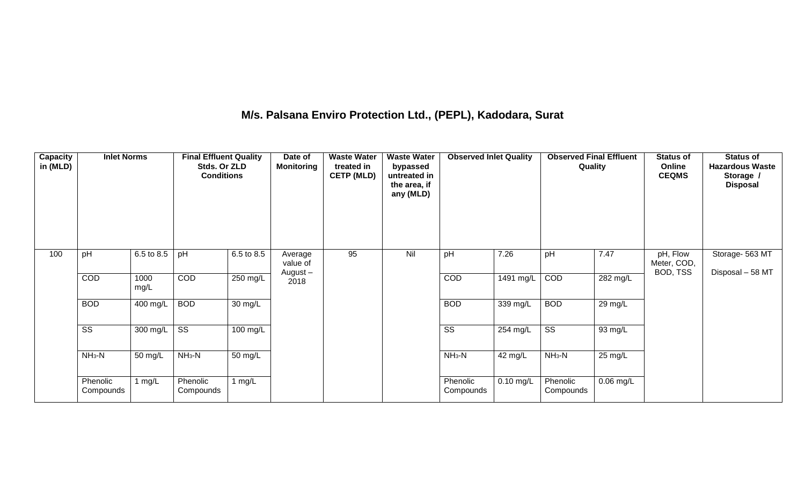### **M/s. Palsana Enviro Protection Ltd., (PEPL), Kadodara, Surat**

| Capacity<br>in (MLD) | <b>Inlet Norms</b>     |              | <b>Final Effluent Quality</b><br>Stds. Or ZLD<br><b>Conditions</b> |                    | Date of<br><b>Monitoring</b> | <b>Waste Water</b><br>treated in<br><b>CETP (MLD)</b> | <b>Waste Water</b><br>bypassed<br>untreated in<br>the area, if<br>any (MLD) | <b>Observed Inlet Quality</b> |             | <b>Observed Final Effluent</b><br>Quality |                       | <b>Status of</b><br>Online<br><b>CEQMS</b> | <b>Status of</b><br><b>Hazardous Waste</b><br>Storage /<br><b>Disposal</b> |
|----------------------|------------------------|--------------|--------------------------------------------------------------------|--------------------|------------------------------|-------------------------------------------------------|-----------------------------------------------------------------------------|-------------------------------|-------------|-------------------------------------------|-----------------------|--------------------------------------------|----------------------------------------------------------------------------|
| 100                  | pH                     | 6.5 to 8.5   | pH                                                                 | 6.5 to 8.5         | Average<br>value of          | 95                                                    | Nil                                                                         | pH                            | 7.26        | pH                                        | 7.47                  | pH, Flow<br>Meter, COD,                    | Storage- 563 MT                                                            |
|                      | COD                    | 1000<br>mg/L | COD                                                                | 250 mg/L           | August-<br>2018              |                                                       |                                                                             | COD                           | 1491 mg/L   | COD                                       | $\overline{282}$ mg/L | BOD, TSS                                   | Disposal - 58 MT                                                           |
|                      | <b>BOD</b>             | 400 mg/L     | <b>BOD</b>                                                         | $30 \text{ mg/L}$  |                              |                                                       |                                                                             | <b>BOD</b>                    | 339 mg/L    | <b>BOD</b>                                | 29 mg/L               |                                            |                                                                            |
|                      | $\overline{\text{ss}}$ | 300 mg/L     | $\overline{\text{ss}}$                                             | $100 \text{ mg/L}$ |                              |                                                       |                                                                             | $\overline{\text{ss}}$        | 254 mg/L    | $\overline{\text{ss}}$                    | 93 mg/L               |                                            |                                                                            |
|                      | $NH3-N$                | 50 mg/L      | $NH3-N$                                                            | 50 mg/L            |                              |                                                       |                                                                             | $NH3-N$                       | 42 mg/L     | $NH_3-N$                                  | $25 \text{ mg/L}$     |                                            |                                                                            |
|                      | Phenolic<br>Compounds  | 1 $mg/L$     | Phenolic<br>Compounds                                              | 1 $mg/L$           |                              |                                                       |                                                                             | Phenolic<br>Compounds         | $0.10$ mg/L | Phenolic<br>Compounds                     | $0.06$ mg/L           |                                            |                                                                            |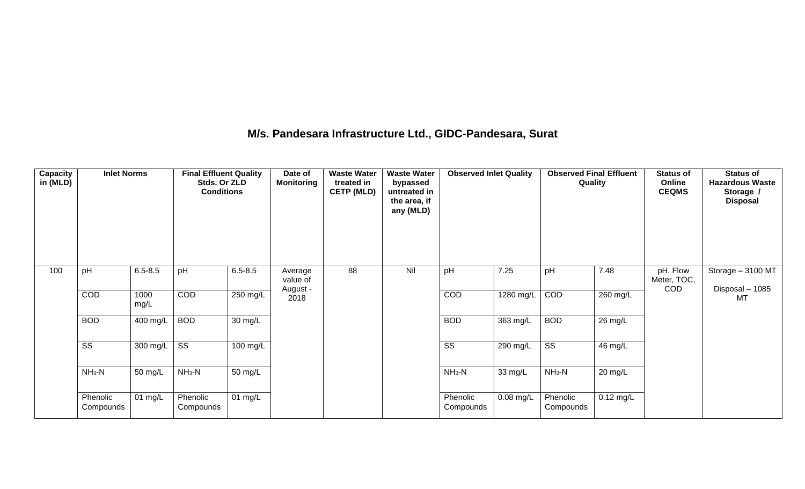#### **M/s. Pandesara Infrastructure Ltd., GIDC-Pandesara, Surat**

| <b>Capacity</b><br>in (MLD) | <b>Inlet Norms</b>     |                                 | <b>Final Effluent Quality</b><br>Stds. Or ZLD<br><b>Conditions</b> |             | Date of<br><b>Monitoring</b>    | <b>Waste Water</b><br>treated in<br><b>CETP (MLD)</b> | <b>Waste Water</b><br>bypassed<br>untreated in<br>the area, if<br>any (MLD) | <b>Observed Inlet Quality</b> |                        | <b>Observed Final Effluent</b><br>Quality |             | <b>Status of</b><br>Online<br><b>CEQMS</b> | <b>Status of</b><br><b>Hazardous Waste</b><br>Storage /<br><b>Disposal</b> |
|-----------------------------|------------------------|---------------------------------|--------------------------------------------------------------------|-------------|---------------------------------|-------------------------------------------------------|-----------------------------------------------------------------------------|-------------------------------|------------------------|-------------------------------------------|-------------|--------------------------------------------|----------------------------------------------------------------------------|
| 100                         | pH                     | $6.5 - 8.5$                     | pH                                                                 | $6.5 - 8.5$ | Average<br>value of<br>August - | 88                                                    | Nil                                                                         | pH                            | 7.25                   | pH                                        | 7.48        | pH, Flow<br>Meter, TOC,<br>COD             | Storage - 3100 MT<br>Disposal - 1085                                       |
|                             | COD                    | 1000<br>mg/L                    | <b>COD</b>                                                         | $250$ mg/L  | 2018                            |                                                       |                                                                             | COD                           | $\overline{1280}$ mg/L | COD                                       | $260$ mg/L  |                                            | <b>MT</b>                                                                  |
|                             | <b>BOD</b>             | 400 mg/L                        | <b>BOD</b>                                                         | 30 mg/L     |                                 |                                                       |                                                                             | <b>BOD</b>                    | 363 mg/L               | <b>BOD</b>                                | 26 mg/L     |                                            |                                                                            |
|                             | $\overline{\text{ss}}$ | 300 mg/L $\overline{\text{SS}}$ |                                                                    | 100 mg/L    |                                 |                                                       |                                                                             | $\overline{\text{ss}}$        | 290 mg/L               | $\overline{\text{ss}}$                    | 46 mg/L     |                                            |                                                                            |
|                             | $NH3-N$                | 50 mg/L                         | $NH3-N$                                                            | 50 mg/L     |                                 |                                                       |                                                                             | $NH3-N$                       | 33 mg/L                | $NH_3-N$                                  | 20 mg/L     |                                            |                                                                            |
|                             | Phenolic<br>Compounds  | 01 mg/L                         | Phenolic<br>Compounds                                              | 01 mg/L     |                                 |                                                       |                                                                             | Phenolic<br>Compounds         | 0.08 mg/L              | Phenolic<br>Compounds                     | $0.12$ mg/L |                                            |                                                                            |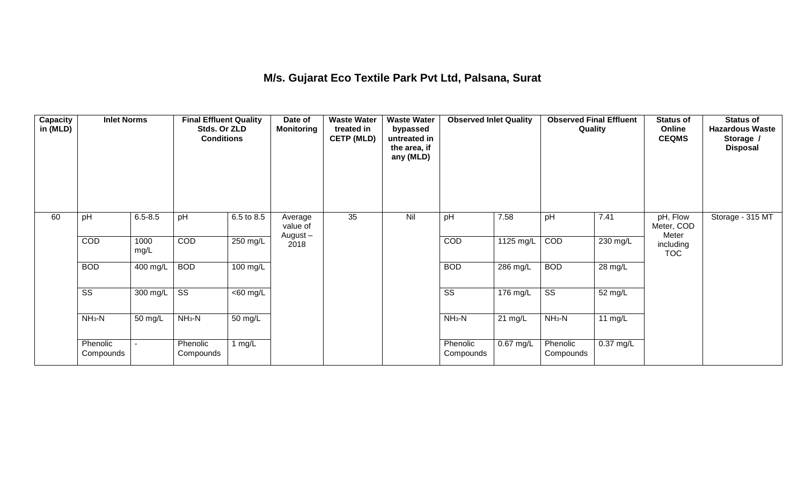### **M/s. Gujarat Eco Textile Park Pvt Ltd, Palsana, Surat**

| <b>Capacity</b><br>in (MLD) | <b>Inlet Norms</b>     |                       | <b>Final Effluent Quality</b><br>Stds. Or ZLD<br><b>Conditions</b> |                       | Date of<br><b>Monitoring</b>   | <b>Waste Water</b><br>treated in<br><b>CETP (MLD)</b> | <b>Waste Water</b><br>bypassed<br>untreated in<br>the area, if<br>any (MLD) | <b>Observed Inlet Quality</b> |                     | <b>Observed Final Effluent</b><br>Quality |                      | <b>Status of</b><br>Online<br><b>CEQMS</b> | <b>Status of</b><br><b>Hazardous Waste</b><br>Storage /<br><b>Disposal</b> |
|-----------------------------|------------------------|-----------------------|--------------------------------------------------------------------|-----------------------|--------------------------------|-------------------------------------------------------|-----------------------------------------------------------------------------|-------------------------------|---------------------|-------------------------------------------|----------------------|--------------------------------------------|----------------------------------------------------------------------------|
| 60                          | pH                     | $6.5 - 8.5$           | pH                                                                 | 6.5 to 8.5            | Average<br>value of<br>August- | 35                                                    | Nil                                                                         | pH                            | 7.58                | pH                                        | 7.41                 | pH, Flow<br>Meter, COD<br>Meter            | Storage - 315 MT                                                           |
|                             | COD                    | 1000<br>mg/L          | <b>COD</b>                                                         | $250$ mg/L            | 2018                           |                                                       |                                                                             | COD                           | $1125 \text{ mg/L}$ | COD                                       | $230$ mg/L           | including<br><b>TOC</b>                    |                                                                            |
|                             | <b>BOD</b>             | 400 mg/L              | <b>BOD</b>                                                         | $100 \text{ mg/L}$    |                                |                                                       |                                                                             | <b>BOD</b>                    | 286 mg/L            | <b>BOD</b>                                | $\overline{28}$ mg/L |                                            |                                                                            |
|                             | $\overline{\text{ss}}$ | $300 \text{ mg/L}$ SS |                                                                    | $\overline{<}60$ mg/L |                                |                                                       |                                                                             | $\overline{\text{ss}}$        | 176 mg/L            | $\overline{\text{ss}}$                    | 52 mg/L              |                                            |                                                                            |
|                             | $NH3-N$                | 50 mg/L               | $NH3-N$                                                            | 50 mg/L               |                                |                                                       |                                                                             | $NH3-N$                       | $21 \text{ mg/L}$   | $NH3-N$                                   | 11 $mg/L$            |                                            |                                                                            |
|                             | Phenolic<br>Compounds  |                       | Phenolic<br>Compounds                                              | 1 mg/L                |                                |                                                       |                                                                             | Phenolic<br>Compounds         | 0.67 mg/L           | Phenolic<br>Compounds                     | 0.37 mg/L            |                                            |                                                                            |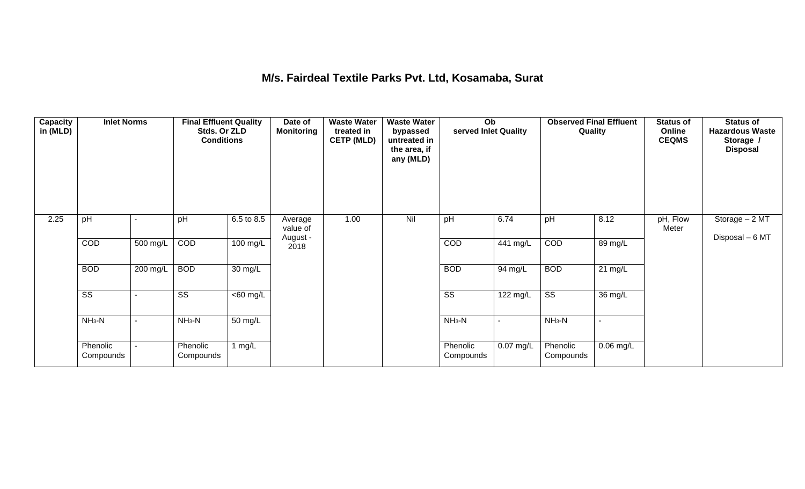#### **M/s. Fairdeal Textile Parks Pvt. Ltd, Kosamaba, Surat**

| <b>Capacity</b><br>in (MLD) | <b>Inlet Norms</b>     |          | <b>Final Effluent Quality</b><br>Stds. Or ZLD<br><b>Conditions</b> |                      | Date of<br><b>Monitoring</b> | <b>Waste Water</b><br>treated in<br><b>CETP (MLD)</b> | <b>Waste Water</b><br>bypassed<br>untreated in<br>the area, if<br>any (MLD) | Ob<br>served Inlet Quality |                       | <b>Observed Final Effluent</b> | Quality           | <b>Status of</b><br>Online<br><b>CEQMS</b> | <b>Status of</b><br><b>Hazardous Waste</b><br>Storage /<br><b>Disposal</b> |
|-----------------------------|------------------------|----------|--------------------------------------------------------------------|----------------------|------------------------------|-------------------------------------------------------|-----------------------------------------------------------------------------|----------------------------|-----------------------|--------------------------------|-------------------|--------------------------------------------|----------------------------------------------------------------------------|
| 2.25                        | pH                     |          | pH                                                                 | 6.5 to 8.5           | Average<br>value of          | 1.00                                                  | Nil                                                                         | pH                         | 6.74                  | pH                             | 8.12              | pH, Flow<br>Meter                          | Storage - 2 MT<br>Disposal - 6 MT                                          |
|                             | COD                    | 500 mg/L | COD                                                                | $100 \text{ mg/L}$   | August -<br>2018             |                                                       |                                                                             | COD                        | 441 mg/L              | COD                            | 89 mg/L           |                                            |                                                                            |
|                             | <b>BOD</b>             | 200 mg/L | <b>BOD</b>                                                         | $\overline{30}$ mg/L |                              |                                                       |                                                                             | <b>BOD</b>                 | 94 mg/L               | <b>BOD</b>                     | $21 \text{ mg/L}$ |                                            |                                                                            |
|                             | $\overline{\text{ss}}$ |          | $\overline{\text{ss}}$                                             | $\overline{60}$ mg/L |                              |                                                       |                                                                             | $\overline{\text{ss}}$     | $\overline{122}$ mg/L | $\overline{\text{ss}}$         | 36 mg/L           |                                            |                                                                            |
|                             | $NH3-N$                | ٠        | $NH3-N$                                                            | $\overline{50}$ mg/L |                              |                                                       |                                                                             | $NH3-N$                    | $\blacksquare$        | $NH3-N$                        | $\sim$            |                                            |                                                                            |
|                             | Phenolic<br>Compounds  |          | Phenolic<br>Compounds                                              | 1 $mg/L$             |                              |                                                       |                                                                             | Phenolic<br>Compounds      | $0.07$ mg/L           | Phenolic<br>Compounds          | $0.06$ mg/L       |                                            |                                                                            |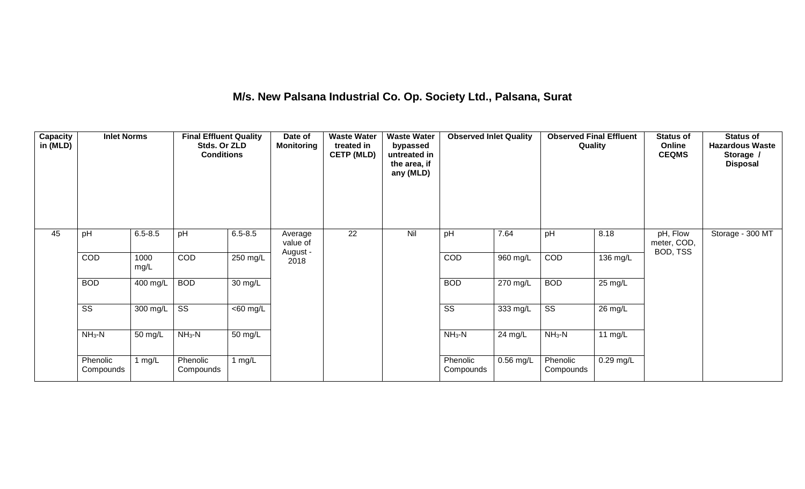| M/s. New Palsana Industrial Co. Op. Society Ltd., Palsana, Surat |  |  |  |
|------------------------------------------------------------------|--|--|--|
|------------------------------------------------------------------|--|--|--|

| <b>Capacity</b><br>in (MLD) | <b>Inlet Norms</b>     |              | <b>Final Effluent Quality</b><br>Stds. Or ZLD<br><b>Conditions</b> |                      | Date of<br><b>Monitoring</b> | <b>Waste Water</b><br>treated in<br><b>CETP (MLD)</b> | <b>Waste Water</b><br>bypassed<br>untreated in<br>the area, if<br>any (MLD) | <b>Observed Inlet Quality</b> |             | <b>Observed Final Effluent</b><br>Quality |                      | <b>Status of</b><br>Online<br><b>CEQMS</b> | <b>Status of</b><br><b>Hazardous Waste</b><br>Storage /<br><b>Disposal</b> |
|-----------------------------|------------------------|--------------|--------------------------------------------------------------------|----------------------|------------------------------|-------------------------------------------------------|-----------------------------------------------------------------------------|-------------------------------|-------------|-------------------------------------------|----------------------|--------------------------------------------|----------------------------------------------------------------------------|
| 45                          | pH                     | $6.5 - 8.5$  | pH                                                                 | $6.5 - 8.5$          | Average<br>value of          | $\overline{22}$                                       | Nil                                                                         | pH                            | 7.64        | pH                                        | 8.18                 | pH, Flow<br>meter, COD,<br>BOD, TSS        | Storage - 300 MT                                                           |
|                             | COD                    | 1000<br>mg/L | COD                                                                | 250 mg/L             | August -<br>2018             |                                                       |                                                                             | COD                           | 960 mg/L    | COD                                       | 136 mg/L             |                                            |                                                                            |
|                             | <b>BOD</b>             | $400$ mg/L   | <b>BOD</b>                                                         | $\overline{30}$ mg/L |                              |                                                       |                                                                             | <b>BOD</b>                    | $270$ mg/L  | <b>BOD</b>                                | $25 \,\mathrm{mg/L}$ |                                            |                                                                            |
|                             | $\overline{\text{ss}}$ | 300 mg/L     | $\overline{\text{ss}}$                                             | <60 mg/L             |                              |                                                       |                                                                             | $\overline{\text{ss}}$        | 333 mg/L    | $\overline{\text{SS}}$                    | 26 mg/L              |                                            |                                                                            |
|                             | $NH3-N$                | 50 mg/L      | $NH3-N$                                                            | 50 mg/L              |                              |                                                       |                                                                             | $NH_3-N$                      | 24 mg/L     | $NH3-N$                                   | 11 $mg/L$            |                                            |                                                                            |
|                             | Phenolic<br>Compounds  | 1 $mg/L$     | Phenolic<br>Compounds                                              | 1 $mg/L$             |                              |                                                       |                                                                             | Phenolic<br>Compounds         | $0.56$ mg/L | Phenolic<br>Compounds                     | $0.29$ mg/L          |                                            |                                                                            |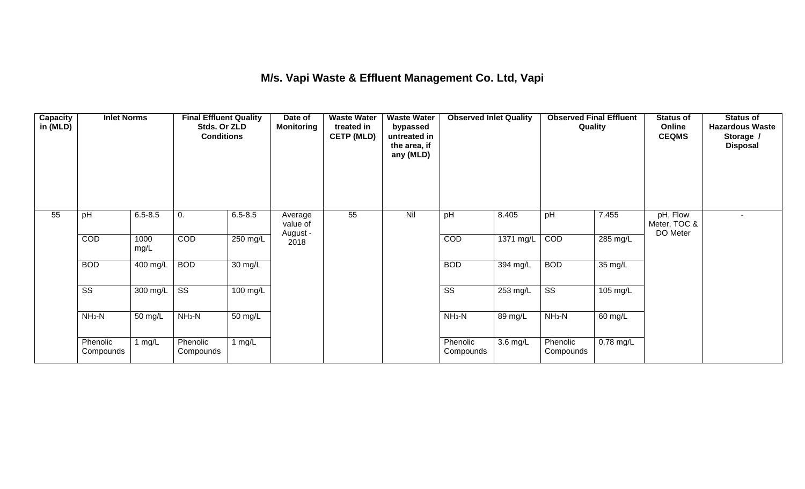### **M/s. Vapi Waste & Effluent Management Co. Ltd, Vapi**

| Capacity<br>in (MLD) | <b>Inlet Norms</b>     |              | <b>Final Effluent Quality</b><br>Stds. Or ZLD<br><b>Conditions</b> |                      | Date of<br><b>Monitoring</b> | <b>Waste Water</b><br>treated in<br><b>CETP (MLD)</b> | <b>Waste Water</b><br>bypassed<br>untreated in<br>the area, if<br>any (MLD) | <b>Observed Inlet Quality</b> |           | <b>Observed Final Effluent</b><br>Quality |           | <b>Status of</b><br>Online<br><b>CEQMS</b> | <b>Status of</b><br><b>Hazardous Waste</b><br>Storage /<br><b>Disposal</b> |
|----------------------|------------------------|--------------|--------------------------------------------------------------------|----------------------|------------------------------|-------------------------------------------------------|-----------------------------------------------------------------------------|-------------------------------|-----------|-------------------------------------------|-----------|--------------------------------------------|----------------------------------------------------------------------------|
| 55                   | pH                     | $6.5 - 8.5$  | 0.                                                                 | $6.5 - 8.5$          | Average<br>value of          | 55                                                    | Nil                                                                         | pH                            | 8.405     | pH                                        | 7.455     | pH, Flow<br>Meter, TOC &<br>DO Meter       |                                                                            |
|                      | COD                    | 1000<br>mg/L | <b>COD</b>                                                         | 250 mg/L             | August -<br>2018             |                                                       |                                                                             | COD                           | 1371 mg/L | COD                                       | 285 mg/L  |                                            |                                                                            |
|                      | <b>BOD</b>             | 400 mg/L     | <b>BOD</b>                                                         | $\overline{30}$ mg/L |                              |                                                       |                                                                             | <b>BOD</b>                    | 394 mg/L  | <b>BOD</b>                                | 35 mg/L   |                                            |                                                                            |
|                      | $\overline{\text{SS}}$ | 300 mg/L     | $\overline{\text{ss}}$                                             | 100 mg/L             |                              |                                                       |                                                                             | $\overline{\text{SS}}$        | 253 mg/L  | $\overline{\text{ss}}$                    | 105 mg/L  |                                            |                                                                            |
|                      | $NH3-N$                | 50 mg/L      | $NH3-N$                                                            | 50 mg/L              |                              |                                                       |                                                                             | $NH3-N$                       | 89 mg/L   | $NH3-N$                                   | 60 mg/L   |                                            |                                                                            |
|                      | Phenolic<br>Compounds  | 1 $mg/L$     | Phenolic<br>Compounds                                              | 1 $mg/L$             |                              |                                                       |                                                                             | Phenolic<br>Compounds         | 3.6 mg/L  | Phenolic<br>Compounds                     | 0.78 mg/L |                                            |                                                                            |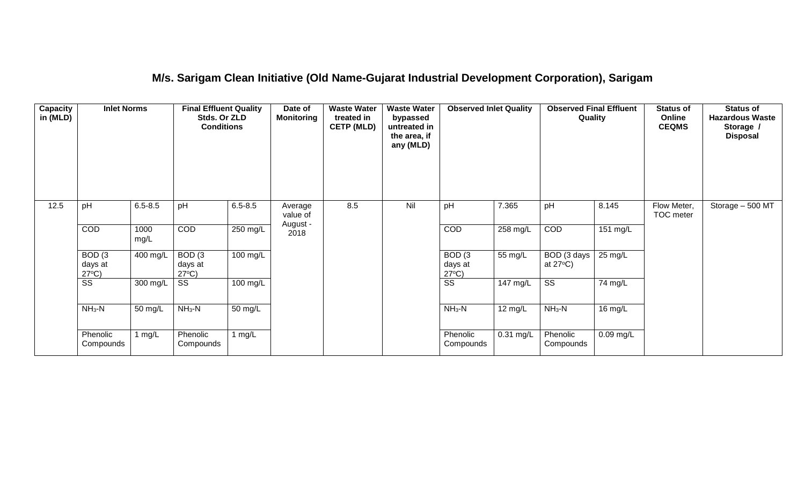#### **M/s. Sarigam Clean Initiative (Old Name-Gujarat Industrial Development Corporation), Sarigam**

| Capacity<br>in (MLD) | <b>Inlet Norms</b><br>$6.5 - 8.5$<br>pH         |              | <b>Final Effluent Quality</b><br>Stds. Or ZLD<br><b>Conditions</b> |                      | Date of<br><b>Monitoring</b> | <b>Waste Water</b><br>treated in<br><b>CETP (MLD)</b> | <b>Waste Water</b><br>bypassed<br>untreated in<br>the area, if<br>any (MLD) | <b>Observed Inlet Quality</b>                   |                       | <b>Observed Final Effluent</b><br>Quality |             | <b>Status of</b><br>Online<br><b>CEQMS</b> | <b>Status of</b><br><b>Hazardous Waste</b><br>Storage /<br><b>Disposal</b> |
|----------------------|-------------------------------------------------|--------------|--------------------------------------------------------------------|----------------------|------------------------------|-------------------------------------------------------|-----------------------------------------------------------------------------|-------------------------------------------------|-----------------------|-------------------------------------------|-------------|--------------------------------------------|----------------------------------------------------------------------------|
| 12.5                 |                                                 |              | pH                                                                 | $6.5 - 8.5$          | Average<br>value of          | 8.5                                                   | Nil                                                                         | pH                                              | 7.365                 | pH                                        | 8.145       | Flow Meter,<br>TOC meter                   | Storage $-500$ MT                                                          |
|                      | COD                                             | 1000<br>mg/L | COD                                                                | $250 \text{ mg/L}$   | August -<br>2018             |                                                       |                                                                             | COD                                             | 258 mg/L              | COD                                       | $151$ mg/L  |                                            |                                                                            |
|                      | BOD <sub>(3</sub><br>days at<br>$27^{\circ}C$ ) | 400 mg/L     | BOD <sub>(3</sub><br>days at<br>$27^{\circ}C$ )                    | 100 mg/L             |                              |                                                       |                                                                             | BOD <sub>(3</sub><br>days at<br>$27^{\circ}C$ ) | 55 mg/L               | BOD (3 days<br>at $27^{\circ}$ C)         | 25 mg/L     |                                            |                                                                            |
|                      | $\overline{\text{SS}}$                          | 300 mg/L     | SS                                                                 | 100 mg/L             |                              |                                                       |                                                                             | $\overline{\text{SS}}$                          | $\overline{147}$ mg/L | $\overline{\text{SS}}$                    | 74 mg/L     |                                            |                                                                            |
|                      | $NH_3-N$<br>50 mg/L                             |              | $NH_3-N$                                                           | $\overline{50}$ mg/L |                              |                                                       |                                                                             | $NH3-N$                                         | $\overline{12}$ mg/L  | $NH3-N$                                   | 16 mg/L     |                                            |                                                                            |
|                      | Phenolic<br>Compounds                           | 1 mg/L       | Phenolic<br>Compounds                                              | 1 mg/ $L$            |                              |                                                       |                                                                             | Phenolic<br>Compounds                           | $0.31$ mg/L           | Phenolic<br>Compounds                     | $0.09$ mg/L |                                            |                                                                            |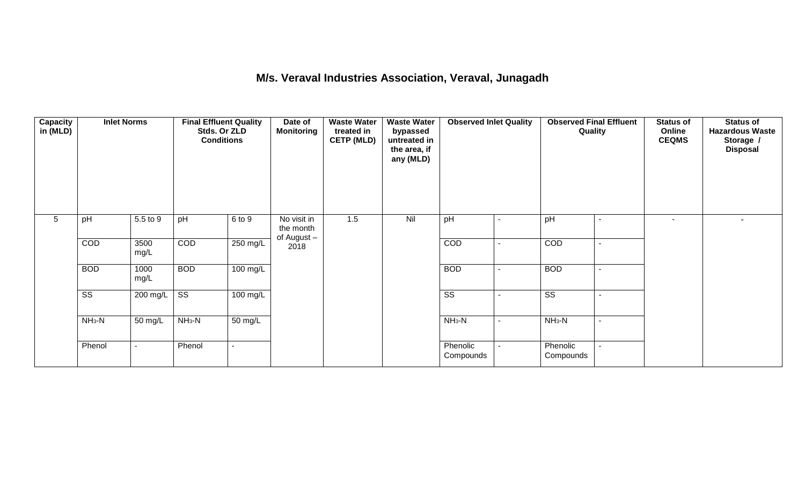#### **M/s. Veraval Industries Association, Veraval, Junagadh**

| Capacity<br>in (MLD) | 5.5 to 9<br>pH         |                          | <b>Final Effluent Quality</b><br>Stds. Or ZLD<br><b>Conditions</b> |                      | Date of<br><b>Monitoring</b>            | <b>Waste Water</b><br>treated in<br><b>CETP (MLD)</b> | <b>Waste Water</b><br>bypassed<br>untreated in<br>the area, if<br>any (MLD) | <b>Observed Inlet Quality</b> |                          | <b>Observed Final Effluent</b><br>Quality |                          | <b>Status of</b><br>Online<br><b>CEQMS</b> | <b>Status of</b><br><b>Hazardous Waste</b><br>Storage /<br><b>Disposal</b> |
|----------------------|------------------------|--------------------------|--------------------------------------------------------------------|----------------------|-----------------------------------------|-------------------------------------------------------|-----------------------------------------------------------------------------|-------------------------------|--------------------------|-------------------------------------------|--------------------------|--------------------------------------------|----------------------------------------------------------------------------|
| 5                    |                        |                          | pH                                                                 | 6 to 9               | No visit in<br>the month<br>of August - | 1.5                                                   | Nil                                                                         | pH                            |                          | pH                                        |                          | $\overline{\phantom{a}}$                   |                                                                            |
|                      | COD                    | 3500<br>mg/L             | COD                                                                | $250 \text{ mg/L}$   | 2018                                    |                                                       |                                                                             | COD                           |                          | COD                                       | $\overline{\phantom{a}}$ |                                            |                                                                            |
|                      | <b>BOD</b>             | 1000<br>mg/L             | <b>BOD</b>                                                         | 100 mg/L             |                                         |                                                       |                                                                             | <b>BOD</b>                    | $\blacksquare$           | <b>BOD</b>                                | $\overline{a}$           |                                            |                                                                            |
|                      | $\overline{\text{ss}}$ | 200 mg/L                 | $\overline{\text{ss}}$                                             | $100 \text{ mg/L}$   |                                         |                                                       |                                                                             | $\overline{\text{ss}}$        |                          | $\overline{\text{ss}}$                    | $\overline{\phantom{a}}$ |                                            |                                                                            |
|                      | $NH3-N$                | 50 mg/L                  | $NH3-N$                                                            | $\overline{50}$ mg/L |                                         |                                                       |                                                                             | $NH_3-N$                      | $\overline{\phantom{a}}$ | $NH3-N$                                   | $\overline{\phantom{a}}$ |                                            |                                                                            |
|                      | Phenol                 | $\overline{\phantom{a}}$ | Phenol                                                             |                      |                                         |                                                       |                                                                             | Phenolic<br>Compounds         | $\blacksquare$           | Phenolic<br>Compounds                     |                          |                                            |                                                                            |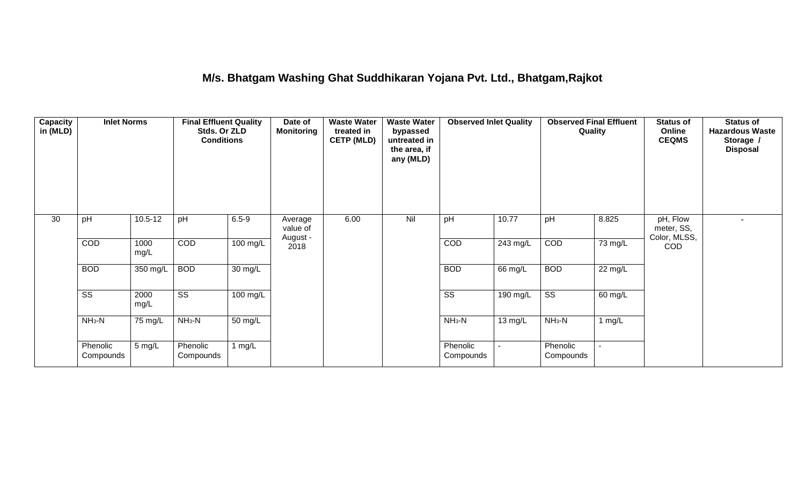### **M/s. Bhatgam Washing Ghat Suddhikaran Yojana Pvt. Ltd., Bhatgam,Rajkot**

| <b>Capacity</b><br>in (MLD) | <b>Inlet Norms</b>     |                                                                            | <b>Final Effluent Quality</b> | Date of<br>Stds. Or ZLD<br><b>Monitoring</b><br><b>Conditions</b> |                                 | <b>Waste Water</b><br>treated in<br><b>CETP (MLD)</b> | <b>Waste Water</b><br>bypassed<br>untreated in<br>the area, if<br>any (MLD) | <b>Observed Inlet Quality</b> |                       | <b>Observed Final Effluent</b><br>Quality |         | <b>Status of</b><br>Online<br><b>CEQMS</b> | <b>Status of</b><br><b>Hazardous Waste</b><br>Storage /<br><b>Disposal</b> |
|-----------------------------|------------------------|----------------------------------------------------------------------------|-------------------------------|-------------------------------------------------------------------|---------------------------------|-------------------------------------------------------|-----------------------------------------------------------------------------|-------------------------------|-----------------------|-------------------------------------------|---------|--------------------------------------------|----------------------------------------------------------------------------|
| 30                          | pH                     | $10.5 - 12$                                                                | pH                            | $6.5 - 9$                                                         | Average<br>value of<br>August - | 6.00                                                  | Nil                                                                         | pH                            | 10.77                 | pH                                        | 8.825   | pH, Flow<br>meter, SS,<br>Color, MLSS,     |                                                                            |
|                             | COD                    | 1000<br>mg/L                                                               | COD                           | $100$ mg/L                                                        | 2018                            |                                                       |                                                                             | COD                           | $\overline{243}$ mg/L | COD                                       | 73 mg/L | <b>COD</b>                                 |                                                                            |
|                             | <b>BOD</b>             | 350 mg/L                                                                   | <b>BOD</b>                    | 30 mg/L                                                           |                                 |                                                       |                                                                             | <b>BOD</b>                    | 66 mg/L               | <b>BOD</b>                                | 22 mg/L |                                            |                                                                            |
|                             | $\overline{\text{ss}}$ | 2000<br>mg/L                                                               | $\overline{\text{ss}}$        | 100 mg/L                                                          |                                 |                                                       |                                                                             | $\overline{\text{ss}}$        | $190$ mg/L            | $\overline{\text{ss}}$                    | 60 mg/L |                                            |                                                                            |
|                             | $NH3-N$                | $NH3-N$<br>75 mg/L<br>50 mg/L<br>5 mg/L<br>Phenolic<br>1 mg/L<br>Compounds |                               |                                                                   |                                 |                                                       | $NH3-N$                                                                     | 13 mg/L                       | $NH3-N$               | 1 $mg/L$                                  |         |                                            |                                                                            |
|                             | Phenolic<br>Compounds  |                                                                            |                               |                                                                   |                                 |                                                       | Phenolic<br>Compounds                                                       |                               | Phenolic<br>Compounds | $\sim$                                    |         |                                            |                                                                            |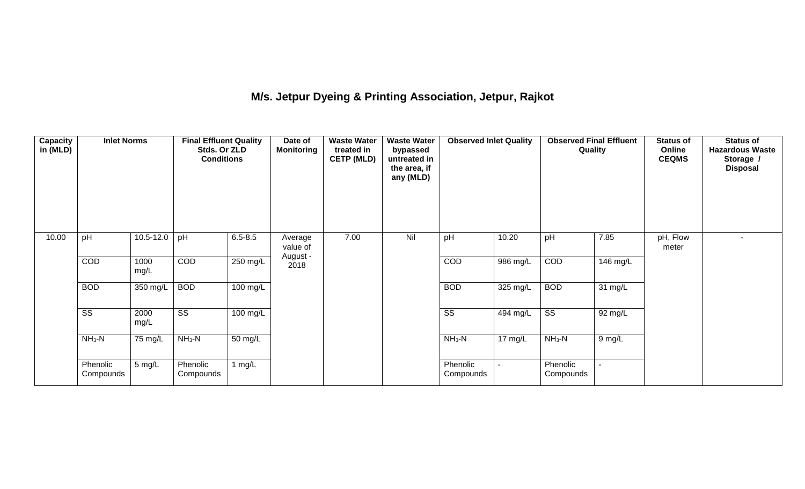# **M/s. Jetpur Dyeing & Printing Association, Jetpur, Rajkot**

| Capacity<br>in (MLD) | <b>Inlet Norms</b>     |               | <b>Final Effluent Quality</b><br>Stds. Or ZLD<br><b>Conditions</b> |                    | Date of<br><b>Monitoring</b> | <b>Waste Water</b><br>treated in<br><b>CETP (MLD)</b> | <b>Waste Water</b><br>bypassed<br>untreated in<br>the area, if<br>any (MLD) | <b>Observed Inlet Quality</b> |                       | <b>Observed Final Effluent</b><br>Quality |                          | <b>Status of</b><br>Online<br><b>CEQMS</b> | <b>Status of</b><br><b>Hazardous Waste</b><br>Storage /<br><b>Disposal</b> |
|----------------------|------------------------|---------------|--------------------------------------------------------------------|--------------------|------------------------------|-------------------------------------------------------|-----------------------------------------------------------------------------|-------------------------------|-----------------------|-------------------------------------------|--------------------------|--------------------------------------------|----------------------------------------------------------------------------|
| 10.00                | pH                     | $10.5 - 12.0$ | pH                                                                 | $6.5 - 8.5$        | Average<br>value of          | 7.00                                                  | Nil                                                                         | pH                            | 10.20                 | pH                                        | 7.85                     | pH, Flow<br>meter                          |                                                                            |
|                      | COD                    | 1000<br>mg/L  | COD                                                                | 250 mg/L           | August -<br>2018             |                                                       |                                                                             | COD                           | 986 mg/L              | COD                                       | $\overline{146}$ mg/L    |                                            |                                                                            |
|                      | <b>BOD</b>             | 350 mg/L      | <b>BOD</b>                                                         | $100 \text{ mg/L}$ |                              |                                                       |                                                                             | <b>BOD</b>                    | $325 \text{ mg/L}$    | <b>BOD</b>                                | 31 mg/L                  |                                            |                                                                            |
|                      | $\overline{\text{ss}}$ | 2000<br>mg/L  | $\overline{\text{ss}}$                                             | $100 \text{ mg/L}$ |                              |                                                       |                                                                             | $\overline{\text{ss}}$        | $\overline{494}$ mg/L | $\overline{\text{ss}}$                    | 92 mg/L                  |                                            |                                                                            |
|                      | $NH3-N$                | 75 mg/L       | $NH3-N$                                                            | 50 mg/L            |                              |                                                       |                                                                             | $NH3-N$                       | 17 $mg/L$             | $NH3-N$                                   | 9 mg/L                   |                                            |                                                                            |
|                      | Phenolic<br>Compounds  | 5 mg/L        | Phenolic<br>Compounds                                              | 1 $mg/L$           |                              |                                                       |                                                                             | Phenolic<br>Compounds         |                       | Phenolic<br>Compounds                     | $\overline{\phantom{0}}$ |                                            |                                                                            |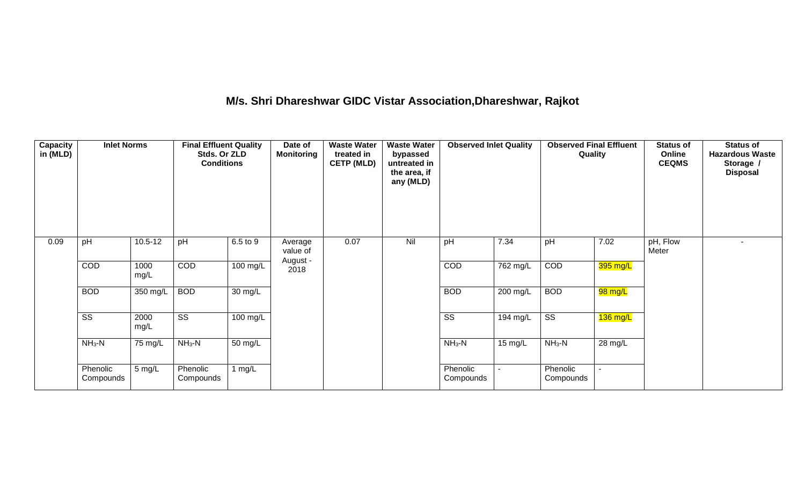# **M/s. Shri Dhareshwar GIDC Vistar Association,Dhareshwar, Rajkot**

| <b>Capacity</b><br>in (MLD) | <b>Inlet Norms</b><br>pH<br>$10.5 - 12$ |                      | <b>Final Effluent Quality</b><br>Stds. Or ZLD<br><b>Conditions</b> |                      | Date of<br><b>Monitoring</b> | <b>Waste Water</b><br>treated in<br><b>CETP (MLD)</b> | <b>Waste Water</b><br>bypassed<br>untreated in<br>the area, if<br>any (MLD) | <b>Observed Inlet Quality</b> |                    | <b>Observed Final Effluent</b><br>Quality |                   | <b>Status of</b><br>Online<br><b>CEQMS</b> | <b>Status of</b><br><b>Hazardous Waste</b><br>Storage /<br><b>Disposal</b> |
|-----------------------------|-----------------------------------------|----------------------|--------------------------------------------------------------------|----------------------|------------------------------|-------------------------------------------------------|-----------------------------------------------------------------------------|-------------------------------|--------------------|-------------------------------------------|-------------------|--------------------------------------------|----------------------------------------------------------------------------|
| 0.09                        |                                         |                      | pH                                                                 | 6.5 to 9             | Average<br>value of          | 0.07                                                  | Nil                                                                         | pH                            | 7.34               | pH                                        | 7.02              | pH, Flow<br>Meter                          | ٠                                                                          |
|                             | COD                                     | 1000<br>mg/L         | COD                                                                | $100$ mg/L           | August -<br>2018             |                                                       |                                                                             | COD                           | 762 mg/L           | COD                                       | 395 mg/L          |                                            |                                                                            |
|                             | <b>BOD</b>                              | 350 mg/L             | <b>BOD</b>                                                         | $\overline{30}$ mg/L |                              |                                                       |                                                                             | <b>BOD</b>                    | 200 mg/L           | <b>BOD</b>                                | $98 \text{ mg/L}$ |                                            |                                                                            |
|                             | $\overline{\text{ss}}$                  | 2000<br>mg/L         | $\overline{\text{ss}}$                                             | 100 mg/L             |                              |                                                       |                                                                             | $\overline{\text{ss}}$        | $194 \text{ mg/L}$ | $\overline{\text{ss}}$                    | $136$ mg/L        |                                            |                                                                            |
|                             | $NH3-N$                                 | $\overline{75}$ mg/L | $NH3-N$                                                            | $50 \text{ mg/L}$    |                              |                                                       |                                                                             | $NH3-N$                       | 15 mg/L            | $NH3-N$                                   | 28 mg/L           |                                            |                                                                            |
|                             | Phenolic<br>Compounds                   | 5 mg/L               | Phenolic<br>Compounds                                              | 1 $mg/L$             |                              |                                                       |                                                                             | Phenolic<br>Compounds         |                    | Phenolic<br>Compounds                     |                   |                                            |                                                                            |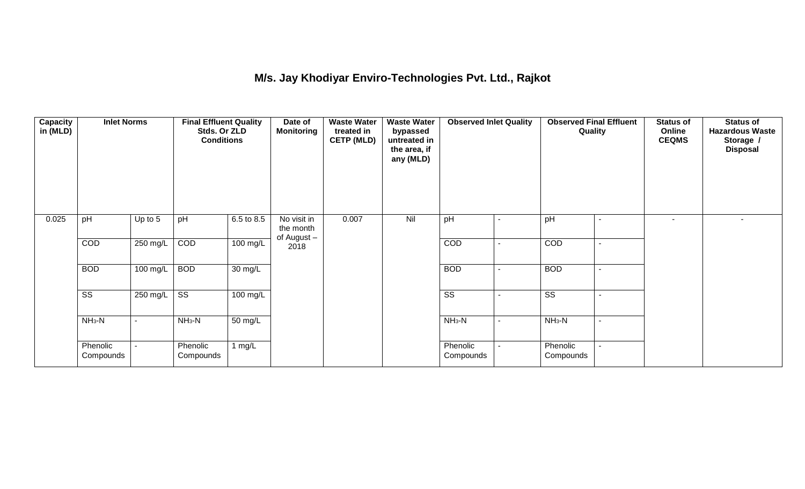### **M/s. Jay Khodiyar Enviro-Technologies Pvt. Ltd., Rajkot**

| <b>Capacity</b><br>in (MLD) | <b>Inlet Norms</b><br>pH<br>Up to 5 |                          | <b>Final Effluent Quality</b><br>Stds. Or ZLD<br><b>Conditions</b> |                    | Date of<br><b>Monitoring</b>            | <b>Waste Water</b><br>treated in<br><b>CETP (MLD)</b> | <b>Waste Water</b><br>bypassed<br>untreated in<br>the area, if<br>any (MLD) | <b>Observed Inlet Quality</b> |                          | <b>Observed Final Effluent</b><br>Quality | <b>Status of</b><br>Online<br><b>CEQMS</b> | <b>Status of</b><br><b>Hazardous Waste</b><br>Storage /<br><b>Disposal</b> |
|-----------------------------|-------------------------------------|--------------------------|--------------------------------------------------------------------|--------------------|-----------------------------------------|-------------------------------------------------------|-----------------------------------------------------------------------------|-------------------------------|--------------------------|-------------------------------------------|--------------------------------------------|----------------------------------------------------------------------------|
| 0.025                       |                                     |                          | pH                                                                 | 6.5 to 8.5         | No visit in<br>the month<br>of August - | 0.007                                                 | Nil                                                                         | pH                            |                          | pH                                        | ٠                                          |                                                                            |
|                             | COD                                 | $250$ mg/L               | COD                                                                | $100 \text{ mg/L}$ | 2018                                    |                                                       |                                                                             | COD                           |                          | COD                                       |                                            |                                                                            |
|                             | <b>BOD</b>                          | 100 mg/L                 | <b>BOD</b>                                                         | 30 mg/L            |                                         |                                                       |                                                                             | <b>BOD</b>                    |                          | <b>BOD</b>                                |                                            |                                                                            |
|                             | $\overline{\text{ss}}$              | 250 mg/L                 | $\overline{\text{ss}}$                                             | $100 \text{ mg/L}$ |                                         |                                                       |                                                                             | $\overline{\text{ss}}$        | $\overline{\phantom{a}}$ | $\overline{\text{ss}}$                    |                                            |                                                                            |
|                             | $NH3-N$                             | $\overline{\phantom{a}}$ | $NH3-N$                                                            | 50 mg/L            |                                         |                                                       |                                                                             | $NH3-N$                       | $\blacksquare$           | $NH3-N$                                   |                                            |                                                                            |
|                             | Phenolic<br>Compounds               |                          | Phenolic<br>Compounds                                              | 1 mg/L             |                                         |                                                       |                                                                             | Phenolic<br>Compounds         |                          | Phenolic<br>Compounds                     |                                            |                                                                            |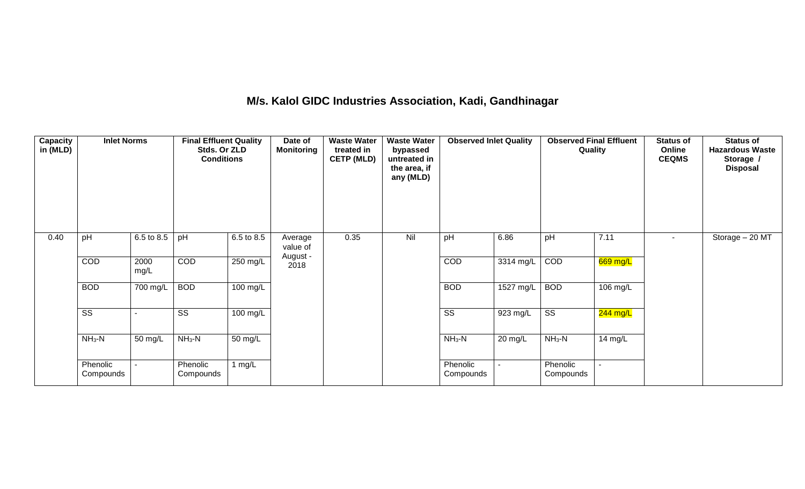#### **M/s. Kalol GIDC Industries Association, Kadi, Gandhinagar**

| <b>Capacity</b><br>in (MLD) | <b>Inlet Norms</b>     |              | <b>Final Effluent Quality</b><br>Stds. Or ZLD<br><b>Conditions</b> |            | Date of<br><b>Monitoring</b> | <b>Waste Water</b><br>treated in<br><b>CETP (MLD)</b> | <b>Waste Water</b><br>bypassed<br>untreated in<br>the area, if<br>any (MLD) | <b>Observed Inlet Quality</b> |                | <b>Observed Final Effluent</b><br>Quality |            | <b>Status of</b><br>Online<br><b>CEQMS</b> | <b>Status of</b><br><b>Hazardous Waste</b><br>Storage /<br><b>Disposal</b> |
|-----------------------------|------------------------|--------------|--------------------------------------------------------------------|------------|------------------------------|-------------------------------------------------------|-----------------------------------------------------------------------------|-------------------------------|----------------|-------------------------------------------|------------|--------------------------------------------|----------------------------------------------------------------------------|
| 0.40                        | pH                     | 6.5 to 8.5   | pH                                                                 | 6.5 to 8.5 | Average<br>value of          | 0.35                                                  | Nil                                                                         | pH                            | 6.86           | pH                                        | 7.11       |                                            | Storage - 20 MT                                                            |
|                             | COD                    | 2000<br>mg/L | COD                                                                | 250 mg/L   | August -<br>2018             |                                                       |                                                                             | COD                           | 3314 mg/L      | COD                                       | 669 mg/L   |                                            |                                                                            |
|                             | <b>BOD</b>             | 700 mg/L     | <b>BOD</b>                                                         | $100$ mg/L |                              |                                                       |                                                                             | <b>BOD</b>                    | 1527 mg/L      | <b>BOD</b>                                | 106 mg/L   |                                            |                                                                            |
|                             | $\overline{\text{ss}}$ |              | $\overline{\text{ss}}$                                             | 100 mg/L   |                              |                                                       |                                                                             | $\overline{\text{ss}}$        | 923 mg/L       | $\overline{\text{ss}}$                    | $244$ mg/L |                                            |                                                                            |
|                             | $NH3-N$                | 50 mg/L      | $NH3-N$                                                            | 50 mg/L    |                              |                                                       |                                                                             | $NH_3-N$                      | 20 mg/L        | $NH3-N$                                   | 14 mg/L    |                                            |                                                                            |
|                             | Phenolic<br>Compounds  |              | Phenolic<br>Compounds                                              | 1 mg/L     |                              |                                                       |                                                                             | Phenolic<br>Compounds         | $\blacksquare$ | Phenolic<br>Compounds                     |            |                                            |                                                                            |